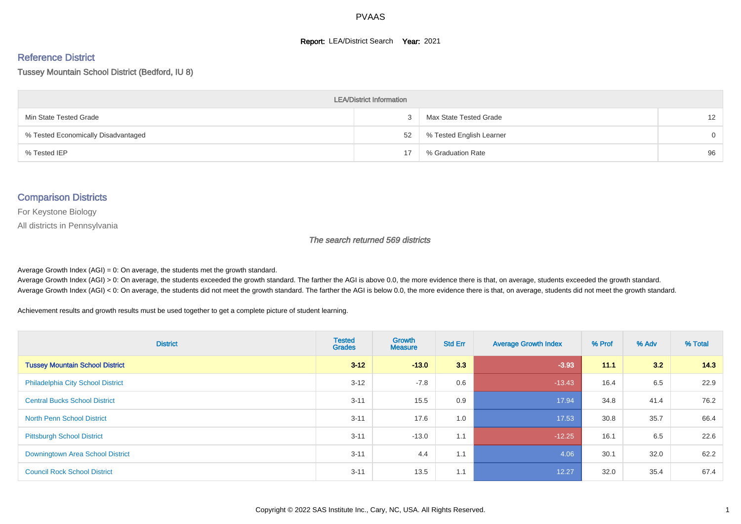#### **Report: LEA/District Search Year: 2021**

#### Reference District

Tussey Mountain School District (Bedford, IU 8)

| <b>LEA/District Information</b>     |    |                          |                   |  |  |  |  |  |  |  |
|-------------------------------------|----|--------------------------|-------------------|--|--|--|--|--|--|--|
| Min State Tested Grade              |    | Max State Tested Grade   | $12 \overline{ }$ |  |  |  |  |  |  |  |
| % Tested Economically Disadvantaged | 52 | % Tested English Learner | $\Omega$          |  |  |  |  |  |  |  |
| % Tested IEP                        |    | % Graduation Rate        | 96                |  |  |  |  |  |  |  |

#### Comparison Districts

For Keystone Biology

All districts in Pennsylvania

The search returned 569 districts

Average Growth Index  $(AGI) = 0$ : On average, the students met the growth standard.

Average Growth Index (AGI) > 0: On average, the students exceeded the growth standard. The farther the AGI is above 0.0, the more evidence there is that, on average, students exceeded the growth standard. Average Growth Index (AGI) < 0: On average, the students did not meet the growth standard. The farther the AGI is below 0.0, the more evidence there is that, on average, students did not meet the growth standard.

Achievement results and growth results must be used together to get a complete picture of student learning.

| <b>District</b>                          | <b>Tested</b><br><b>Grades</b> | <b>Growth</b><br><b>Measure</b> | <b>Std Err</b> | <b>Average Growth Index</b> | % Prof | % Adv | % Total |
|------------------------------------------|--------------------------------|---------------------------------|----------------|-----------------------------|--------|-------|---------|
| <b>Tussey Mountain School District</b>   | $3 - 12$                       | $-13.0$                         | 3.3            | $-3.93$                     | 11.1   | 3.2   | 14.3    |
| <b>Philadelphia City School District</b> | $3 - 12$                       | $-7.8$                          | 0.6            | $-13.43$                    | 16.4   | 6.5   | 22.9    |
| <b>Central Bucks School District</b>     | $3 - 11$                       | 15.5                            | 0.9            | 17.94                       | 34.8   | 41.4  | 76.2    |
| <b>North Penn School District</b>        | $3 - 11$                       | 17.6                            | 1.0            | 17.53                       | 30.8   | 35.7  | 66.4    |
| <b>Pittsburgh School District</b>        | $3 - 11$                       | $-13.0$                         | 1.1            | $-12.25$                    | 16.1   | 6.5   | 22.6    |
| Downingtown Area School District         | $3 - 11$                       | 4.4                             | 1.1            | 4.06                        | 30.1   | 32.0  | 62.2    |
| <b>Council Rock School District</b>      | $3 - 11$                       | 13.5                            | 1.1            | 12.27                       | 32.0   | 35.4  | 67.4    |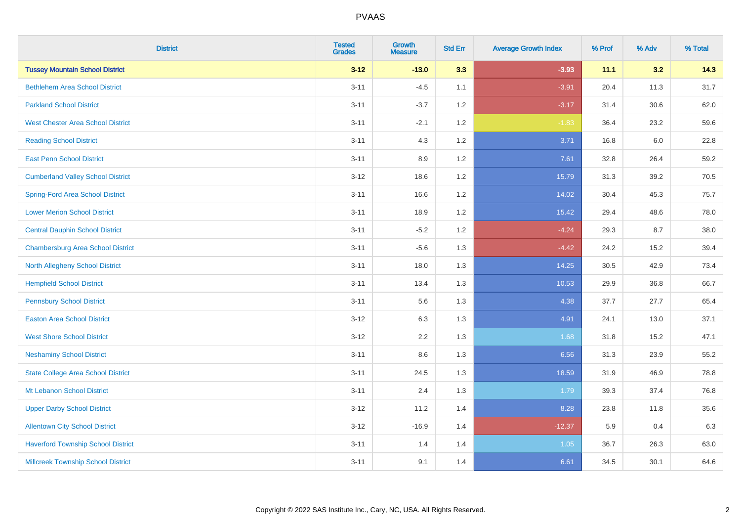| <b>District</b>                           | <b>Tested</b><br><b>Grades</b> | Growth<br><b>Measure</b> | <b>Std Err</b> | <b>Average Growth Index</b> | % Prof | % Adv | % Total |
|-------------------------------------------|--------------------------------|--------------------------|----------------|-----------------------------|--------|-------|---------|
| <b>Tussey Mountain School District</b>    | $3 - 12$                       | $-13.0$                  | 3.3            | $-3.93$                     | 11.1   | 3.2   | 14.3    |
| <b>Bethlehem Area School District</b>     | $3 - 11$                       | $-4.5$                   | 1.1            | $-3.91$                     | 20.4   | 11.3  | 31.7    |
| <b>Parkland School District</b>           | $3 - 11$                       | $-3.7$                   | 1.2            | $-3.17$                     | 31.4   | 30.6  | 62.0    |
| <b>West Chester Area School District</b>  | $3 - 11$                       | $-2.1$                   | $1.2\,$        | $-1.83$                     | 36.4   | 23.2  | 59.6    |
| <b>Reading School District</b>            | $3 - 11$                       | 4.3                      | 1.2            | 3.71                        | 16.8   | 6.0   | 22.8    |
| <b>East Penn School District</b>          | $3 - 11$                       | 8.9                      | 1.2            | 7.61                        | 32.8   | 26.4  | 59.2    |
| <b>Cumberland Valley School District</b>  | $3 - 12$                       | 18.6                     | 1.2            | 15.79                       | 31.3   | 39.2  | 70.5    |
| <b>Spring-Ford Area School District</b>   | $3 - 11$                       | 16.6                     | 1.2            | 14.02                       | 30.4   | 45.3  | 75.7    |
| <b>Lower Merion School District</b>       | $3 - 11$                       | 18.9                     | 1.2            | 15.42                       | 29.4   | 48.6  | 78.0    |
| <b>Central Dauphin School District</b>    | $3 - 11$                       | $-5.2$                   | 1.2            | $-4.24$                     | 29.3   | 8.7   | 38.0    |
| <b>Chambersburg Area School District</b>  | $3 - 11$                       | $-5.6$                   | 1.3            | $-4.42$                     | 24.2   | 15.2  | 39.4    |
| <b>North Allegheny School District</b>    | $3 - 11$                       | 18.0                     | 1.3            | 14.25                       | 30.5   | 42.9  | 73.4    |
| <b>Hempfield School District</b>          | $3 - 11$                       | 13.4                     | 1.3            | 10.53                       | 29.9   | 36.8  | 66.7    |
| <b>Pennsbury School District</b>          | $3 - 11$                       | 5.6                      | 1.3            | 4.38                        | 37.7   | 27.7  | 65.4    |
| <b>Easton Area School District</b>        | $3 - 12$                       | 6.3                      | 1.3            | 4.91                        | 24.1   | 13.0  | 37.1    |
| <b>West Shore School District</b>         | $3 - 12$                       | 2.2                      | 1.3            | 1.68                        | 31.8   | 15.2  | 47.1    |
| <b>Neshaminy School District</b>          | $3 - 11$                       | 8.6                      | 1.3            | 6.56                        | 31.3   | 23.9  | 55.2    |
| <b>State College Area School District</b> | $3 - 11$                       | 24.5                     | 1.3            | 18.59                       | 31.9   | 46.9  | 78.8    |
| Mt Lebanon School District                | $3 - 11$                       | 2.4                      | 1.3            | 1.79                        | 39.3   | 37.4  | 76.8    |
| <b>Upper Darby School District</b>        | $3 - 12$                       | 11.2                     | 1.4            | 8.28                        | 23.8   | 11.8  | 35.6    |
| <b>Allentown City School District</b>     | $3 - 12$                       | $-16.9$                  | 1.4            | $-12.37$                    | 5.9    | 0.4   | 6.3     |
| <b>Haverford Township School District</b> | $3 - 11$                       | 1.4                      | 1.4            | 1.05                        | 36.7   | 26.3  | 63.0    |
| <b>Millcreek Township School District</b> | $3 - 11$                       | 9.1                      | 1.4            | 6.61                        | 34.5   | 30.1  | 64.6    |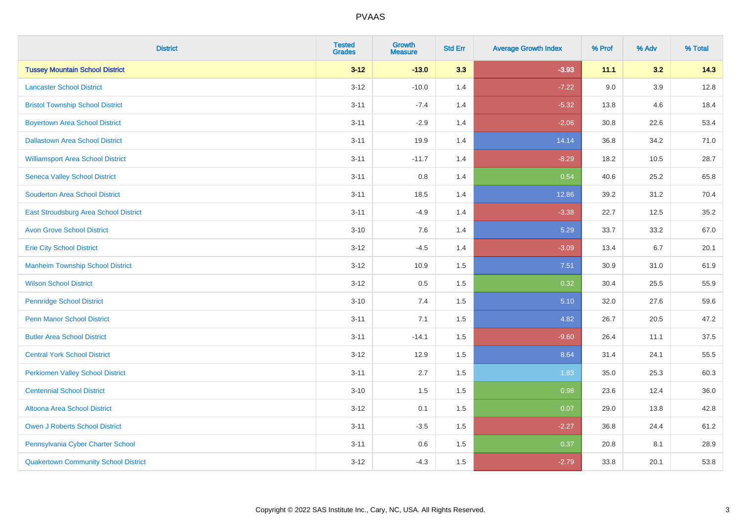| <b>District</b>                             | <b>Tested</b><br><b>Grades</b> | <b>Growth</b><br><b>Measure</b> | <b>Std Err</b> | <b>Average Growth Index</b> | % Prof | % Adv   | % Total |
|---------------------------------------------|--------------------------------|---------------------------------|----------------|-----------------------------|--------|---------|---------|
| <b>Tussey Mountain School District</b>      | $3 - 12$                       | $-13.0$                         | 3.3            | $-3.93$                     | 11.1   | 3.2     | 14.3    |
| <b>Lancaster School District</b>            | $3 - 12$                       | $-10.0$                         | 1.4            | $-7.22$                     | 9.0    | $3.9\,$ | 12.8    |
| <b>Bristol Township School District</b>     | $3 - 11$                       | $-7.4$                          | 1.4            | $-5.32$                     | 13.8   | 4.6     | 18.4    |
| <b>Boyertown Area School District</b>       | $3 - 11$                       | $-2.9$                          | 1.4            | $-2.06$                     | 30.8   | 22.6    | 53.4    |
| <b>Dallastown Area School District</b>      | $3 - 11$                       | 19.9                            | 1.4            | 14.14                       | 36.8   | 34.2    | 71.0    |
| <b>Williamsport Area School District</b>    | $3 - 11$                       | $-11.7$                         | 1.4            | $-8.29$                     | 18.2   | 10.5    | 28.7    |
| <b>Seneca Valley School District</b>        | $3 - 11$                       | 0.8                             | 1.4            | 0.54                        | 40.6   | 25.2    | 65.8    |
| <b>Souderton Area School District</b>       | $3 - 11$                       | 18.5                            | 1.4            | 12.86                       | 39.2   | 31.2    | 70.4    |
| East Stroudsburg Area School District       | $3 - 11$                       | $-4.9$                          | 1.4            | $-3.38$                     | 22.7   | 12.5    | 35.2    |
| <b>Avon Grove School District</b>           | $3 - 10$                       | 7.6                             | 1.4            | 5.29                        | 33.7   | 33.2    | 67.0    |
| <b>Erie City School District</b>            | $3 - 12$                       | $-4.5$                          | 1.4            | $-3.09$                     | 13.4   | 6.7     | 20.1    |
| <b>Manheim Township School District</b>     | $3 - 12$                       | 10.9                            | 1.5            | 7.51                        | 30.9   | 31.0    | 61.9    |
| <b>Wilson School District</b>               | $3 - 12$                       | 0.5                             | 1.5            | 0.32                        | 30.4   | 25.5    | 55.9    |
| <b>Pennridge School District</b>            | $3 - 10$                       | 7.4                             | 1.5            | 5.10                        | 32.0   | 27.6    | 59.6    |
| <b>Penn Manor School District</b>           | $3 - 11$                       | 7.1                             | 1.5            | 4.82                        | 26.7   | 20.5    | 47.2    |
| <b>Butler Area School District</b>          | $3 - 11$                       | $-14.1$                         | 1.5            | $-9.60$                     | 26.4   | 11.1    | 37.5    |
| <b>Central York School District</b>         | $3 - 12$                       | 12.9                            | 1.5            | 8.64                        | 31.4   | 24.1    | 55.5    |
| <b>Perkiomen Valley School District</b>     | $3 - 11$                       | 2.7                             | 1.5            | 1.83                        | 35.0   | 25.3    | 60.3    |
| <b>Centennial School District</b>           | $3 - 10$                       | 1.5                             | 1.5            | 0.98                        | 23.6   | 12.4    | 36.0    |
| Altoona Area School District                | $3 - 12$                       | 0.1                             | 1.5            | 0.07                        | 29.0   | 13.8    | 42.8    |
| Owen J Roberts School District              | $3 - 11$                       | $-3.5$                          | 1.5            | $-2.27$                     | 36.8   | 24.4    | 61.2    |
| Pennsylvania Cyber Charter School           | $3 - 11$                       | 0.6                             | 1.5            | 0.37                        | 20.8   | 8.1     | 28.9    |
| <b>Quakertown Community School District</b> | $3 - 12$                       | $-4.3$                          | 1.5            | $-2.79$                     | 33.8   | 20.1    | 53.8    |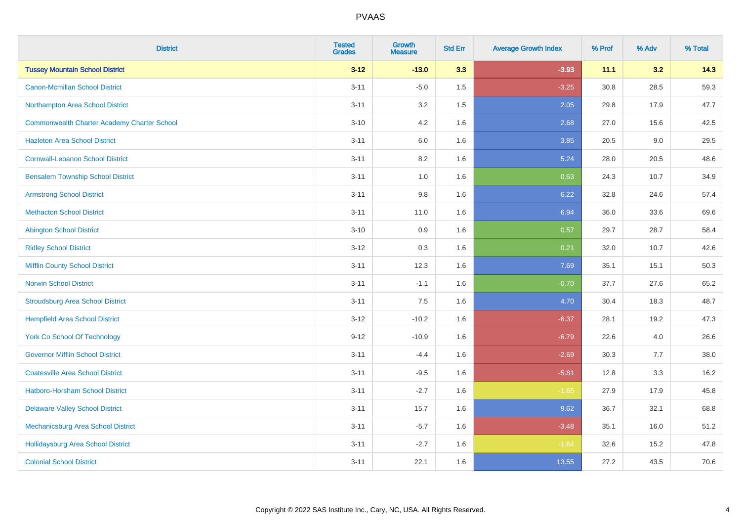| <b>District</b>                                    | <b>Tested</b><br><b>Grades</b> | <b>Growth</b><br><b>Measure</b> | <b>Std Err</b> | <b>Average Growth Index</b> | % Prof | % Adv | % Total |
|----------------------------------------------------|--------------------------------|---------------------------------|----------------|-----------------------------|--------|-------|---------|
| <b>Tussey Mountain School District</b>             | $3 - 12$                       | $-13.0$                         | 3.3            | $-3.93$                     | 11.1   | 3.2   | 14.3    |
| <b>Canon-Mcmillan School District</b>              | $3 - 11$                       | $-5.0$                          | 1.5            | $-3.25$                     | 30.8   | 28.5  | 59.3    |
| Northampton Area School District                   | $3 - 11$                       | 3.2                             | 1.5            | 2.05                        | 29.8   | 17.9  | 47.7    |
| <b>Commonwealth Charter Academy Charter School</b> | $3 - 10$                       | 4.2                             | 1.6            | 2.68                        | 27.0   | 15.6  | 42.5    |
| <b>Hazleton Area School District</b>               | $3 - 11$                       | 6.0                             | 1.6            | 3.85                        | 20.5   | 9.0   | 29.5    |
| <b>Cornwall-Lebanon School District</b>            | $3 - 11$                       | 8.2                             | 1.6            | 5.24                        | 28.0   | 20.5  | 48.6    |
| <b>Bensalem Township School District</b>           | $3 - 11$                       | 1.0                             | 1.6            | 0.63                        | 24.3   | 10.7  | 34.9    |
| <b>Armstrong School District</b>                   | $3 - 11$                       | $9.8\,$                         | 1.6            | 6.22                        | 32.8   | 24.6  | 57.4    |
| <b>Methacton School District</b>                   | $3 - 11$                       | 11.0                            | 1.6            | 6.94                        | 36.0   | 33.6  | 69.6    |
| <b>Abington School District</b>                    | $3 - 10$                       | 0.9                             | 1.6            | 0.57                        | 29.7   | 28.7  | 58.4    |
| <b>Ridley School District</b>                      | $3 - 12$                       | 0.3                             | 1.6            | 0.21                        | 32.0   | 10.7  | 42.6    |
| <b>Mifflin County School District</b>              | $3 - 11$                       | 12.3                            | 1.6            | 7.69                        | 35.1   | 15.1  | 50.3    |
| <b>Norwin School District</b>                      | $3 - 11$                       | $-1.1$                          | 1.6            | $-0.70$                     | 37.7   | 27.6  | 65.2    |
| <b>Stroudsburg Area School District</b>            | $3 - 11$                       | 7.5                             | 1.6            | 4.70                        | 30.4   | 18.3  | 48.7    |
| <b>Hempfield Area School District</b>              | $3 - 12$                       | $-10.2$                         | 1.6            | $-6.37$                     | 28.1   | 19.2  | 47.3    |
| <b>York Co School Of Technology</b>                | $9 - 12$                       | $-10.9$                         | 1.6            | $-6.79$                     | 22.6   | 4.0   | 26.6    |
| <b>Governor Mifflin School District</b>            | $3 - 11$                       | $-4.4$                          | 1.6            | $-2.69$                     | 30.3   | 7.7   | 38.0    |
| <b>Coatesville Area School District</b>            | $3 - 11$                       | $-9.5$                          | 1.6            | $-5.81$                     | 12.8   | 3.3   | 16.2    |
| <b>Hatboro-Horsham School District</b>             | $3 - 11$                       | $-2.7$                          | 1.6            | $-1.65$                     | 27.9   | 17.9  | 45.8    |
| <b>Delaware Valley School District</b>             | $3 - 11$                       | 15.7                            | 1.6            | 9.62                        | 36.7   | 32.1  | 68.8    |
| Mechanicsburg Area School District                 | $3 - 11$                       | $-5.7$                          | 1.6            | $-3.48$                     | 35.1   | 16.0  | 51.2    |
| Hollidaysburg Area School District                 | $3 - 11$                       | $-2.7$                          | 1.6            | $-1.64$                     | 32.6   | 15.2  | 47.8    |
| <b>Colonial School District</b>                    | $3 - 11$                       | 22.1                            | 1.6            | 13.55                       | 27.2   | 43.5  | 70.6    |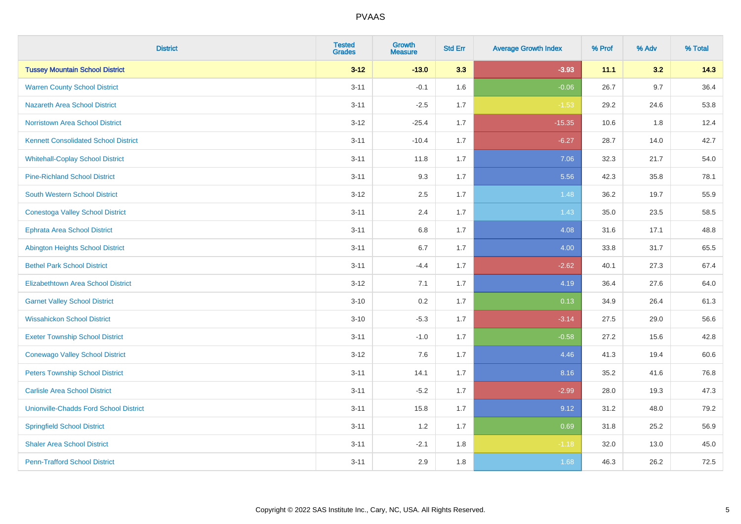| <b>District</b>                               | <b>Tested</b><br><b>Grades</b> | <b>Growth</b><br><b>Measure</b> | <b>Std Err</b> | <b>Average Growth Index</b> | % Prof | % Adv   | % Total |
|-----------------------------------------------|--------------------------------|---------------------------------|----------------|-----------------------------|--------|---------|---------|
| <b>Tussey Mountain School District</b>        | $3 - 12$                       | $-13.0$                         | 3.3            | $-3.93$                     | 11.1   | 3.2     | 14.3    |
| <b>Warren County School District</b>          | $3 - 11$                       | $-0.1$                          | 1.6            | $-0.06$                     | 26.7   | $9.7\,$ | 36.4    |
| <b>Nazareth Area School District</b>          | $3 - 11$                       | $-2.5$                          | 1.7            | $-1.53$                     | 29.2   | 24.6    | 53.8    |
| <b>Norristown Area School District</b>        | $3-12$                         | $-25.4$                         | 1.7            | $-15.35$                    | 10.6   | 1.8     | 12.4    |
| <b>Kennett Consolidated School District</b>   | $3 - 11$                       | $-10.4$                         | 1.7            | $-6.27$                     | 28.7   | 14.0    | 42.7    |
| <b>Whitehall-Coplay School District</b>       | $3 - 11$                       | 11.8                            | 1.7            | 7.06                        | 32.3   | 21.7    | 54.0    |
| <b>Pine-Richland School District</b>          | $3 - 11$                       | 9.3                             | 1.7            | 5.56                        | 42.3   | 35.8    | 78.1    |
| <b>South Western School District</b>          | $3 - 12$                       | 2.5                             | 1.7            | 1.48                        | 36.2   | 19.7    | 55.9    |
| <b>Conestoga Valley School District</b>       | $3 - 11$                       | 2.4                             | 1.7            | 1.43                        | 35.0   | 23.5    | 58.5    |
| <b>Ephrata Area School District</b>           | $3 - 11$                       | 6.8                             | 1.7            | 4.08                        | 31.6   | 17.1    | 48.8    |
| <b>Abington Heights School District</b>       | $3 - 11$                       | $6.7\,$                         | 1.7            | 4.00                        | 33.8   | 31.7    | 65.5    |
| <b>Bethel Park School District</b>            | $3 - 11$                       | $-4.4$                          | 1.7            | $-2.62$                     | 40.1   | 27.3    | 67.4    |
| <b>Elizabethtown Area School District</b>     | $3 - 12$                       | 7.1                             | 1.7            | 4.19                        | 36.4   | 27.6    | 64.0    |
| <b>Garnet Valley School District</b>          | $3 - 10$                       | 0.2                             | 1.7            | 0.13                        | 34.9   | 26.4    | 61.3    |
| <b>Wissahickon School District</b>            | $3 - 10$                       | $-5.3$                          | 1.7            | $-3.14$                     | 27.5   | 29.0    | 56.6    |
| <b>Exeter Township School District</b>        | $3 - 11$                       | $-1.0$                          | 1.7            | $-0.58$                     | 27.2   | 15.6    | 42.8    |
| <b>Conewago Valley School District</b>        | $3 - 12$                       | 7.6                             | 1.7            | 4.46                        | 41.3   | 19.4    | 60.6    |
| <b>Peters Township School District</b>        | $3 - 11$                       | 14.1                            | 1.7            | 8.16                        | 35.2   | 41.6    | 76.8    |
| <b>Carlisle Area School District</b>          | $3 - 11$                       | $-5.2$                          | 1.7            | $-2.99$                     | 28.0   | 19.3    | 47.3    |
| <b>Unionville-Chadds Ford School District</b> | $3 - 11$                       | 15.8                            | 1.7            | 9.12                        | 31.2   | 48.0    | 79.2    |
| <b>Springfield School District</b>            | $3 - 11$                       | 1.2                             | 1.7            | 0.69                        | 31.8   | 25.2    | 56.9    |
| <b>Shaler Area School District</b>            | $3 - 11$                       | $-2.1$                          | 1.8            | $-1.18$                     | 32.0   | 13.0    | 45.0    |
| <b>Penn-Trafford School District</b>          | $3 - 11$                       | 2.9                             | 1.8            | 1.68                        | 46.3   | 26.2    | 72.5    |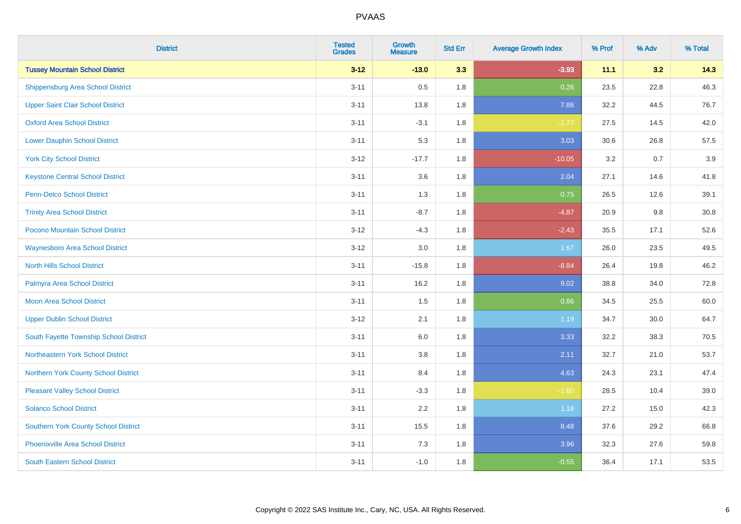| <b>District</b>                             | <b>Tested</b><br><b>Grades</b> | Growth<br><b>Measure</b> | <b>Std Err</b> | <b>Average Growth Index</b> | % Prof | % Adv | % Total |
|---------------------------------------------|--------------------------------|--------------------------|----------------|-----------------------------|--------|-------|---------|
| <b>Tussey Mountain School District</b>      | $3 - 12$                       | $-13.0$                  | 3.3            | $-3.93$                     | 11.1   | 3.2   | 14.3    |
| <b>Shippensburg Area School District</b>    | $3 - 11$                       | 0.5                      | 1.8            | 0.26                        | 23.5   | 22.8  | 46.3    |
| <b>Upper Saint Clair School District</b>    | $3 - 11$                       | 13.8                     | 1.8            | 7.86                        | 32.2   | 44.5  | 76.7    |
| <b>Oxford Area School District</b>          | $3 - 11$                       | $-3.1$                   | 1.8            | $-1.77$                     | 27.5   | 14.5  | 42.0    |
| <b>Lower Dauphin School District</b>        | $3 - 11$                       | 5.3                      | 1.8            | 3.03                        | 30.6   | 26.8  | 57.5    |
| <b>York City School District</b>            | $3 - 12$                       | $-17.7$                  | 1.8            | $-10.05$                    | 3.2    | 0.7   | 3.9     |
| <b>Keystone Central School District</b>     | $3 - 11$                       | 3.6                      | 1.8            | 2.04                        | 27.1   | 14.6  | 41.8    |
| <b>Penn-Delco School District</b>           | $3 - 11$                       | 1.3                      | 1.8            | 0.75                        | 26.5   | 12.6  | 39.1    |
| <b>Trinity Area School District</b>         | $3 - 11$                       | $-8.7$                   | 1.8            | $-4.87$                     | 20.9   | 9.8   | 30.8    |
| <b>Pocono Mountain School District</b>      | $3 - 12$                       | $-4.3$                   | 1.8            | $-2.43$                     | 35.5   | 17.1  | 52.6    |
| <b>Waynesboro Area School District</b>      | $3 - 12$                       | 3.0                      | 1.8            | 1.67                        | 26.0   | 23.5  | 49.5    |
| <b>North Hills School District</b>          | $3 - 11$                       | $-15.8$                  | 1.8            | $-8.84$                     | 26.4   | 19.8  | 46.2    |
| Palmyra Area School District                | $3 - 11$                       | 16.2                     | 1.8            | 9.02                        | 38.8   | 34.0  | 72.8    |
| Moon Area School District                   | $3 - 11$                       | 1.5                      | 1.8            | 0.86                        | 34.5   | 25.5  | 60.0    |
| <b>Upper Dublin School District</b>         | $3 - 12$                       | 2.1                      | 1.8            | 1.19                        | 34.7   | 30.0  | 64.7    |
| South Fayette Township School District      | $3 - 11$                       | $6.0\,$                  | 1.8            | 3.33                        | 32.2   | 38.3  | 70.5    |
| Northeastern York School District           | $3 - 11$                       | 3.8                      | 1.8            | 2.11                        | 32.7   | 21.0  | 53.7    |
| Northern York County School District        | $3 - 11$                       | 8.4                      | 1.8            | 4.63                        | 24.3   | 23.1  | 47.4    |
| <b>Pleasant Valley School District</b>      | $3 - 11$                       | $-3.3$                   | 1.8            | $-1.80$                     | 28.5   | 10.4  | 39.0    |
| <b>Solanco School District</b>              | $3 - 11$                       | 2.2                      | 1.8            | 1.18                        | 27.2   | 15.0  | 42.3    |
| <b>Southern York County School District</b> | $3 - 11$                       | 15.5                     | 1.8            | 8.48                        | 37.6   | 29.2  | 66.8    |
| <b>Phoenixville Area School District</b>    | $3 - 11$                       | 7.3                      | 1.8            | 3.96                        | 32.3   | 27.6  | 59.8    |
| <b>South Eastern School District</b>        | $3 - 11$                       | $-1.0$                   | 1.8            | $-0.55$                     | 36.4   | 17.1  | 53.5    |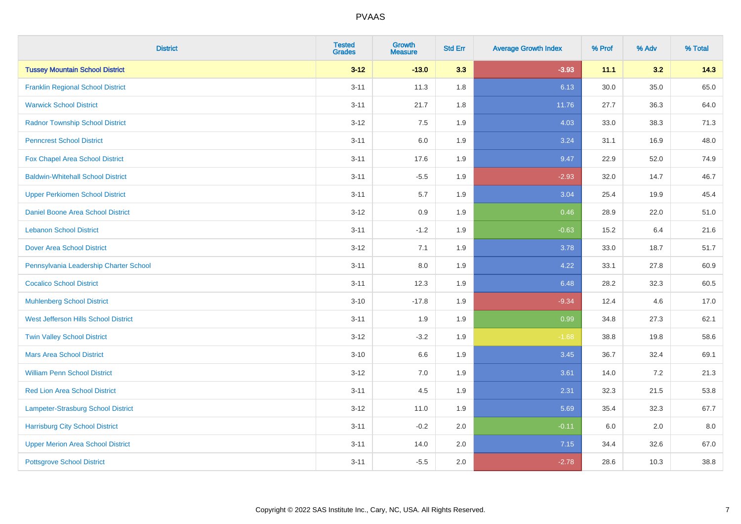| <b>District</b>                           | <b>Tested</b><br><b>Grades</b> | <b>Growth</b><br><b>Measure</b> | <b>Std Err</b> | <b>Average Growth Index</b> | % Prof | % Adv | % Total |
|-------------------------------------------|--------------------------------|---------------------------------|----------------|-----------------------------|--------|-------|---------|
| <b>Tussey Mountain School District</b>    | $3 - 12$                       | $-13.0$                         | 3.3            | $-3.93$                     | 11.1   | 3.2   | 14.3    |
| <b>Franklin Regional School District</b>  | $3 - 11$                       | 11.3                            | 1.8            | 6.13                        | 30.0   | 35.0  | 65.0    |
| <b>Warwick School District</b>            | $3 - 11$                       | 21.7                            | 1.8            | 11.76                       | 27.7   | 36.3  | 64.0    |
| <b>Radnor Township School District</b>    | $3 - 12$                       | 7.5                             | 1.9            | 4.03                        | 33.0   | 38.3  | 71.3    |
| <b>Penncrest School District</b>          | $3 - 11$                       | 6.0                             | 1.9            | 3.24                        | 31.1   | 16.9  | 48.0    |
| Fox Chapel Area School District           | $3 - 11$                       | 17.6                            | 1.9            | 9.47                        | 22.9   | 52.0  | 74.9    |
| <b>Baldwin-Whitehall School District</b>  | $3 - 11$                       | $-5.5$                          | 1.9            | $-2.93$                     | 32.0   | 14.7  | 46.7    |
| <b>Upper Perkiomen School District</b>    | $3 - 11$                       | 5.7                             | 1.9            | 3.04                        | 25.4   | 19.9  | 45.4    |
| Daniel Boone Area School District         | $3 - 12$                       | $0.9\,$                         | 1.9            | 0.46                        | 28.9   | 22.0  | 51.0    |
| <b>Lebanon School District</b>            | $3 - 11$                       | $-1.2$                          | 1.9            | $-0.63$                     | 15.2   | 6.4   | 21.6    |
| <b>Dover Area School District</b>         | $3 - 12$                       | 7.1                             | 1.9            | 3.78                        | 33.0   | 18.7  | 51.7    |
| Pennsylvania Leadership Charter School    | $3 - 11$                       | 8.0                             | 1.9            | 4.22                        | 33.1   | 27.8  | 60.9    |
| <b>Cocalico School District</b>           | $3 - 11$                       | 12.3                            | 1.9            | 6.48                        | 28.2   | 32.3  | 60.5    |
| <b>Muhlenberg School District</b>         | $3 - 10$                       | $-17.8$                         | 1.9            | $-9.34$                     | 12.4   | 4.6   | 17.0    |
| West Jefferson Hills School District      | $3 - 11$                       | 1.9                             | 1.9            | 0.99                        | 34.8   | 27.3  | 62.1    |
| <b>Twin Valley School District</b>        | $3 - 12$                       | $-3.2$                          | 1.9            | $-1.68$                     | 38.8   | 19.8  | 58.6    |
| <b>Mars Area School District</b>          | $3 - 10$                       | 6.6                             | 1.9            | 3.45                        | 36.7   | 32.4  | 69.1    |
| <b>William Penn School District</b>       | $3 - 12$                       | 7.0                             | 1.9            | 3.61                        | 14.0   | 7.2   | 21.3    |
| Red Lion Area School District             | $3 - 11$                       | 4.5                             | 1.9            | 2.31                        | 32.3   | 21.5  | 53.8    |
| <b>Lampeter-Strasburg School District</b> | $3 - 12$                       | 11.0                            | 1.9            | 5.69                        | 35.4   | 32.3  | 67.7    |
| <b>Harrisburg City School District</b>    | $3 - 11$                       | $-0.2$                          | 2.0            | $-0.11$                     | 6.0    | 2.0   | 8.0     |
| <b>Upper Merion Area School District</b>  | $3 - 11$                       | 14.0                            | 2.0            | 7.15                        | 34.4   | 32.6  | 67.0    |
| <b>Pottsgrove School District</b>         | $3 - 11$                       | $-5.5$                          | 2.0            | $-2.78$                     | 28.6   | 10.3  | 38.8    |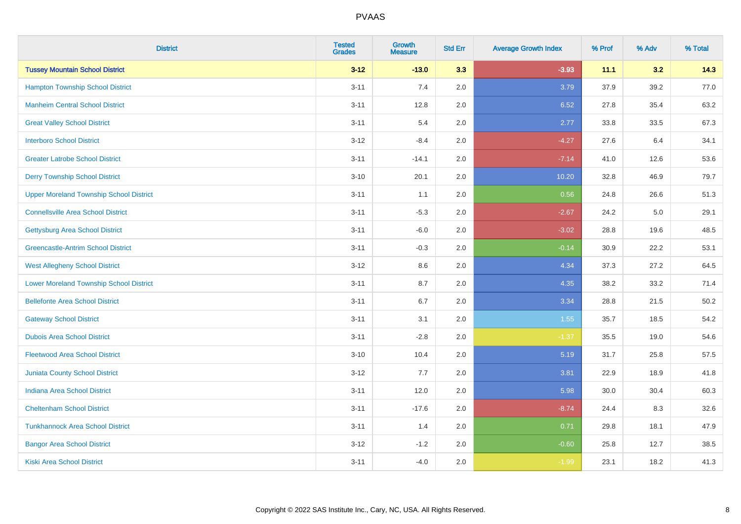| <b>District</b>                                | <b>Tested</b><br><b>Grades</b> | Growth<br><b>Measure</b> | <b>Std Err</b> | <b>Average Growth Index</b> | % Prof | % Adv | % Total |
|------------------------------------------------|--------------------------------|--------------------------|----------------|-----------------------------|--------|-------|---------|
| <b>Tussey Mountain School District</b>         | $3 - 12$                       | $-13.0$                  | 3.3            | $-3.93$                     | 11.1   | 3.2   | 14.3    |
| <b>Hampton Township School District</b>        | $3 - 11$                       | 7.4                      | 2.0            | 3.79                        | 37.9   | 39.2  | 77.0    |
| <b>Manheim Central School District</b>         | $3 - 11$                       | 12.8                     | 2.0            | 6.52                        | 27.8   | 35.4  | 63.2    |
| <b>Great Valley School District</b>            | $3 - 11$                       | 5.4                      | 2.0            | 2.77                        | 33.8   | 33.5  | 67.3    |
| <b>Interboro School District</b>               | $3 - 12$                       | $-8.4$                   | 2.0            | $-4.27$                     | 27.6   | 6.4   | 34.1    |
| <b>Greater Latrobe School District</b>         | $3 - 11$                       | $-14.1$                  | 2.0            | $-7.14$                     | 41.0   | 12.6  | 53.6    |
| <b>Derry Township School District</b>          | $3 - 10$                       | 20.1                     | 2.0            | 10.20                       | 32.8   | 46.9  | 79.7    |
| <b>Upper Moreland Township School District</b> | $3 - 11$                       | 1.1                      | 2.0            | 0.56                        | 24.8   | 26.6  | 51.3    |
| <b>Connellsville Area School District</b>      | $3 - 11$                       | $-5.3$                   | 2.0            | $-2.67$                     | 24.2   | 5.0   | 29.1    |
| <b>Gettysburg Area School District</b>         | $3 - 11$                       | $-6.0$                   | 2.0            | $-3.02$                     | 28.8   | 19.6  | 48.5    |
| <b>Greencastle-Antrim School District</b>      | $3 - 11$                       | $-0.3$                   | 2.0            | $-0.14$                     | 30.9   | 22.2  | 53.1    |
| <b>West Allegheny School District</b>          | $3 - 12$                       | 8.6                      | 2.0            | 4.34                        | 37.3   | 27.2  | 64.5    |
| <b>Lower Moreland Township School District</b> | $3 - 11$                       | 8.7                      | 2.0            | 4.35                        | 38.2   | 33.2  | 71.4    |
| <b>Bellefonte Area School District</b>         | $3 - 11$                       | 6.7                      | 2.0            | 3.34                        | 28.8   | 21.5  | 50.2    |
| <b>Gateway School District</b>                 | $3 - 11$                       | 3.1                      | 2.0            | 1.55                        | 35.7   | 18.5  | 54.2    |
| <b>Dubois Area School District</b>             | $3 - 11$                       | $-2.8$                   | 2.0            | $-1.37$                     | 35.5   | 19.0  | 54.6    |
| <b>Fleetwood Area School District</b>          | $3 - 10$                       | 10.4                     | 2.0            | 5.19                        | 31.7   | 25.8  | 57.5    |
| <b>Juniata County School District</b>          | $3-12$                         | 7.7                      | 2.0            | 3.81                        | 22.9   | 18.9  | 41.8    |
| <b>Indiana Area School District</b>            | $3 - 11$                       | 12.0                     | 2.0            | 5.98                        | 30.0   | 30.4  | 60.3    |
| <b>Cheltenham School District</b>              | $3 - 11$                       | $-17.6$                  | 2.0            | $-8.74$                     | 24.4   | 8.3   | 32.6    |
| <b>Tunkhannock Area School District</b>        | $3 - 11$                       | 1.4                      | 2.0            | 0.71                        | 29.8   | 18.1  | 47.9    |
| <b>Bangor Area School District</b>             | $3-12$                         | $-1.2$                   | 2.0            | $-0.60$                     | 25.8   | 12.7  | 38.5    |
| Kiski Area School District                     | $3 - 11$                       | $-4.0$                   | 2.0            | $-1.99$                     | 23.1   | 18.2  | 41.3    |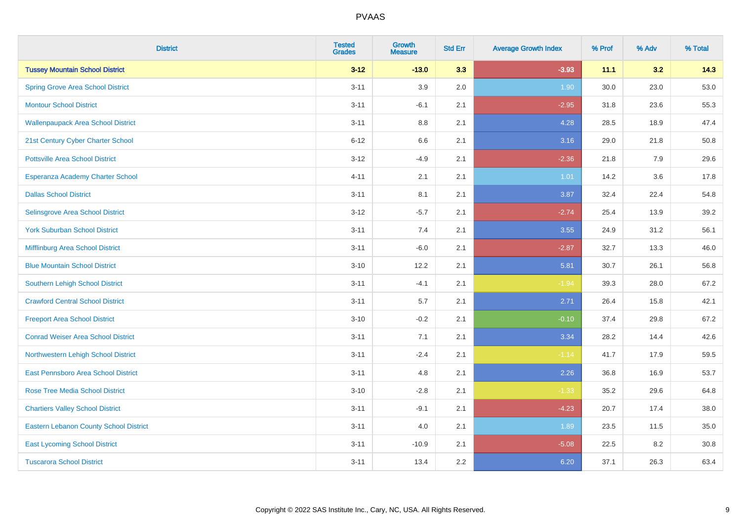| <b>District</b>                               | <b>Tested</b><br><b>Grades</b> | Growth<br><b>Measure</b> | <b>Std Err</b> | <b>Average Growth Index</b> | % Prof | % Adv | % Total |
|-----------------------------------------------|--------------------------------|--------------------------|----------------|-----------------------------|--------|-------|---------|
| <b>Tussey Mountain School District</b>        | $3 - 12$                       | $-13.0$                  | 3.3            | $-3.93$                     | 11.1   | 3.2   | 14.3    |
| <b>Spring Grove Area School District</b>      | $3 - 11$                       | 3.9                      | 2.0            | 1.90                        | 30.0   | 23.0  | 53.0    |
| <b>Montour School District</b>                | $3 - 11$                       | $-6.1$                   | 2.1            | $-2.95$                     | 31.8   | 23.6  | 55.3    |
| <b>Wallenpaupack Area School District</b>     | $3 - 11$                       | $8.8\,$                  | 2.1            | 4.28                        | 28.5   | 18.9  | 47.4    |
| 21st Century Cyber Charter School             | $6 - 12$                       | 6.6                      | 2.1            | 3.16                        | 29.0   | 21.8  | 50.8    |
| <b>Pottsville Area School District</b>        | $3 - 12$                       | $-4.9$                   | 2.1            | $-2.36$                     | 21.8   | 7.9   | 29.6    |
| Esperanza Academy Charter School              | $4 - 11$                       | 2.1                      | 2.1            | 1.01                        | 14.2   | 3.6   | 17.8    |
| <b>Dallas School District</b>                 | $3 - 11$                       | 8.1                      | 2.1            | 3.87                        | 32.4   | 22.4  | 54.8    |
| Selinsgrove Area School District              | $3 - 12$                       | $-5.7$                   | 2.1            | $-2.74$                     | 25.4   | 13.9  | 39.2    |
| <b>York Suburban School District</b>          | $3 - 11$                       | 7.4                      | 2.1            | 3.55                        | 24.9   | 31.2  | 56.1    |
| Mifflinburg Area School District              | $3 - 11$                       | $-6.0$                   | 2.1            | $-2.87$                     | 32.7   | 13.3  | 46.0    |
| <b>Blue Mountain School District</b>          | $3 - 10$                       | 12.2                     | 2.1            | 5.81                        | 30.7   | 26.1  | 56.8    |
| Southern Lehigh School District               | $3 - 11$                       | $-4.1$                   | 2.1            | $-1.94$                     | 39.3   | 28.0  | 67.2    |
| <b>Crawford Central School District</b>       | $3 - 11$                       | 5.7                      | 2.1            | 2.71                        | 26.4   | 15.8  | 42.1    |
| <b>Freeport Area School District</b>          | $3 - 10$                       | $-0.2$                   | 2.1            | $-0.10$                     | 37.4   | 29.8  | 67.2    |
| <b>Conrad Weiser Area School District</b>     | $3 - 11$                       | 7.1                      | 2.1            | 3.34                        | 28.2   | 14.4  | 42.6    |
| Northwestern Lehigh School District           | $3 - 11$                       | $-2.4$                   | 2.1            | $-1.14$                     | 41.7   | 17.9  | 59.5    |
| East Pennsboro Area School District           | $3 - 11$                       | 4.8                      | 2.1            | 2.26                        | 36.8   | 16.9  | 53.7    |
| <b>Rose Tree Media School District</b>        | $3 - 10$                       | $-2.8$                   | 2.1            | $-1.33$                     | 35.2   | 29.6  | 64.8    |
| <b>Chartiers Valley School District</b>       | $3 - 11$                       | $-9.1$                   | 2.1            | $-4.23$                     | 20.7   | 17.4  | 38.0    |
| <b>Eastern Lebanon County School District</b> | $3 - 11$                       | 4.0                      | 2.1            | 1.89                        | 23.5   | 11.5  | 35.0    |
| <b>East Lycoming School District</b>          | $3 - 11$                       | $-10.9$                  | 2.1            | $-5.08$                     | 22.5   | 8.2   | 30.8    |
| <b>Tuscarora School District</b>              | $3 - 11$                       | 13.4                     | 2.2            | 6.20                        | 37.1   | 26.3  | 63.4    |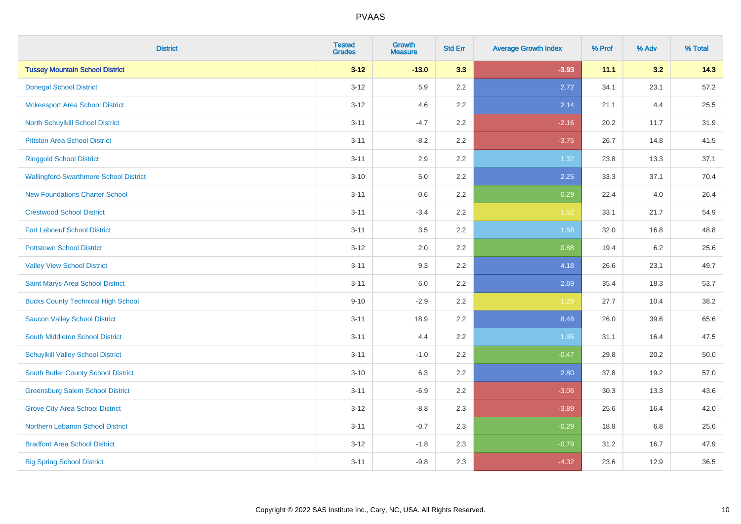| <b>District</b>                               | <b>Tested</b><br><b>Grades</b> | <b>Growth</b><br><b>Measure</b> | <b>Std Err</b> | <b>Average Growth Index</b> | % Prof | % Adv | % Total |
|-----------------------------------------------|--------------------------------|---------------------------------|----------------|-----------------------------|--------|-------|---------|
| <b>Tussey Mountain School District</b>        | $3 - 12$                       | $-13.0$                         | 3.3            | $-3.93$                     | 11.1   | 3.2   | 14.3    |
| <b>Donegal School District</b>                | $3 - 12$                       | 5.9                             | $2.2\,$        | 2.72                        | 34.1   | 23.1  | 57.2    |
| <b>Mckeesport Area School District</b>        | $3 - 12$                       | 4.6                             | 2.2            | 2.14                        | 21.1   | 4.4   | 25.5    |
| North Schuylkill School District              | $3 - 11$                       | $-4.7$                          | 2.2            | $-2.16$                     | 20.2   | 11.7  | 31.9    |
| <b>Pittston Area School District</b>          | $3 - 11$                       | $-8.2$                          | 2.2            | $-3.75$                     | 26.7   | 14.8  | 41.5    |
| <b>Ringgold School District</b>               | $3 - 11$                       | 2.9                             | 2.2            | 1.32                        | 23.8   | 13.3  | 37.1    |
| <b>Wallingford-Swarthmore School District</b> | $3 - 10$                       | 5.0                             | 2.2            | 2.25                        | 33.3   | 37.1  | 70.4    |
| <b>New Foundations Charter School</b>         | $3 - 11$                       | 0.6                             | 2.2            | 0.29                        | 22.4   | 4.0   | 26.4    |
| <b>Crestwood School District</b>              | $3 - 11$                       | $-3.4$                          | 2.2            | $-1.52$                     | 33.1   | 21.7  | 54.9    |
| <b>Fort Leboeuf School District</b>           | $3 - 11$                       | 3.5                             | $2.2\,$        | 1.58                        | 32.0   | 16.8  | 48.8    |
| <b>Pottstown School District</b>              | $3 - 12$                       | 2.0                             | 2.2            | 0.88                        | 19.4   | 6.2   | 25.6    |
| <b>Valley View School District</b>            | $3 - 11$                       | 9.3                             | 2.2            | 4.18                        | 26.6   | 23.1  | 49.7    |
| Saint Marys Area School District              | $3 - 11$                       | $6.0\,$                         | 2.2            | 2.69                        | 35.4   | 18.3  | 53.7    |
| <b>Bucks County Technical High School</b>     | $9 - 10$                       | $-2.9$                          | 2.2            | $-1.29$                     | 27.7   | 10.4  | 38.2    |
| <b>Saucon Valley School District</b>          | $3 - 11$                       | 18.9                            | 2.2            | 8.48                        | 26.0   | 39.6  | 65.6    |
| South Middleton School District               | $3 - 11$                       | 4.4                             | 2.2            | 1.95                        | 31.1   | 16.4  | 47.5    |
| <b>Schuylkill Valley School District</b>      | $3 - 11$                       | $-1.0$                          | 2.2            | $-0.47$                     | 29.8   | 20.2  | 50.0    |
| <b>South Butler County School District</b>    | $3 - 10$                       | 6.3                             | 2.2            | 2.80                        | 37.8   | 19.2  | 57.0    |
| <b>Greensburg Salem School District</b>       | $3 - 11$                       | $-6.9$                          | 2.2            | $-3.06$                     | 30.3   | 13.3  | 43.6    |
| <b>Grove City Area School District</b>        | $3 - 12$                       | $-8.8$                          | 2.3            | $-3.89$                     | 25.6   | 16.4  | 42.0    |
| Northern Lebanon School District              | $3 - 11$                       | $-0.7$                          | 2.3            | $-0.29$                     | 18.8   | 6.8   | 25.6    |
| <b>Bradford Area School District</b>          | $3-12$                         | $-1.8$                          | 2.3            | $-0.79$                     | 31.2   | 16.7  | 47.9    |
| <b>Big Spring School District</b>             | $3 - 11$                       | $-9.8$                          | 2.3            | $-4.32$                     | 23.6   | 12.9  | 36.5    |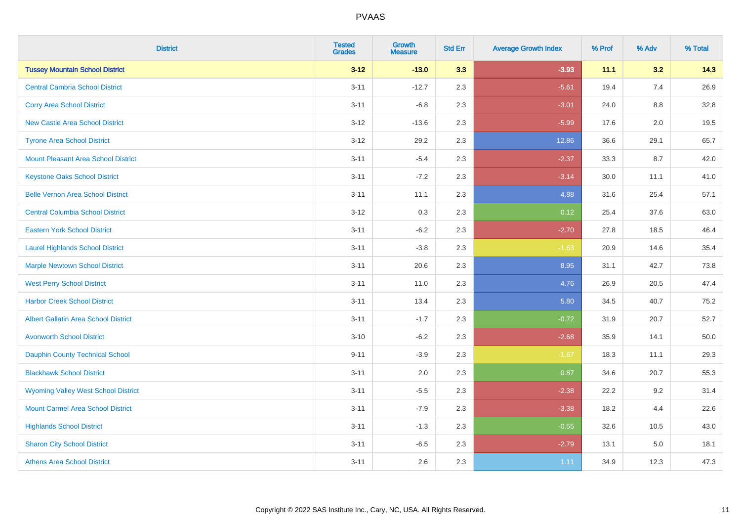| <b>District</b>                             | <b>Tested</b><br><b>Grades</b> | <b>Growth</b><br><b>Measure</b> | <b>Std Err</b> | <b>Average Growth Index</b> | % Prof | % Adv   | % Total |
|---------------------------------------------|--------------------------------|---------------------------------|----------------|-----------------------------|--------|---------|---------|
| <b>Tussey Mountain School District</b>      | $3 - 12$                       | $-13.0$                         | 3.3            | $-3.93$                     | 11.1   | 3.2     | 14.3    |
| <b>Central Cambria School District</b>      | $3 - 11$                       | $-12.7$                         | 2.3            | $-5.61$                     | 19.4   | 7.4     | 26.9    |
| <b>Corry Area School District</b>           | $3 - 11$                       | $-6.8$                          | 2.3            | $-3.01$                     | 24.0   | $8.8\,$ | 32.8    |
| <b>New Castle Area School District</b>      | $3-12$                         | $-13.6$                         | 2.3            | $-5.99$                     | 17.6   | $2.0\,$ | 19.5    |
| <b>Tyrone Area School District</b>          | $3 - 12$                       | 29.2                            | 2.3            | 12.86                       | 36.6   | 29.1    | 65.7    |
| <b>Mount Pleasant Area School District</b>  | $3 - 11$                       | $-5.4$                          | 2.3            | $-2.37$                     | 33.3   | 8.7     | 42.0    |
| <b>Keystone Oaks School District</b>        | $3 - 11$                       | $-7.2$                          | 2.3            | $-3.14$                     | 30.0   | 11.1    | 41.0    |
| <b>Belle Vernon Area School District</b>    | $3 - 11$                       | 11.1                            | 2.3            | 4.88                        | 31.6   | 25.4    | 57.1    |
| <b>Central Columbia School District</b>     | $3 - 12$                       | 0.3                             | 2.3            | 0.12                        | 25.4   | 37.6    | 63.0    |
| <b>Eastern York School District</b>         | $3 - 11$                       | $-6.2$                          | 2.3            | $-2.70$                     | 27.8   | 18.5    | 46.4    |
| <b>Laurel Highlands School District</b>     | $3 - 11$                       | $-3.8$                          | 2.3            | $-1.63$                     | 20.9   | 14.6    | 35.4    |
| <b>Marple Newtown School District</b>       | $3 - 11$                       | 20.6                            | 2.3            | 8.95                        | 31.1   | 42.7    | 73.8    |
| <b>West Perry School District</b>           | $3 - 11$                       | 11.0                            | 2.3            | 4.76                        | 26.9   | 20.5    | 47.4    |
| <b>Harbor Creek School District</b>         | $3 - 11$                       | 13.4                            | 2.3            | 5.80                        | 34.5   | 40.7    | 75.2    |
| <b>Albert Gallatin Area School District</b> | $3 - 11$                       | $-1.7$                          | 2.3            | $-0.72$                     | 31.9   | 20.7    | 52.7    |
| <b>Avonworth School District</b>            | $3 - 10$                       | $-6.2$                          | 2.3            | $-2.68$                     | 35.9   | 14.1    | 50.0    |
| <b>Dauphin County Technical School</b>      | $9 - 11$                       | $-3.9$                          | 2.3            | $-1.67$                     | 18.3   | 11.1    | 29.3    |
| <b>Blackhawk School District</b>            | $3 - 11$                       | 2.0                             | 2.3            | 0.87                        | 34.6   | 20.7    | 55.3    |
| <b>Wyoming Valley West School District</b>  | $3 - 11$                       | $-5.5$                          | 2.3            | $-2.38$                     | 22.2   | 9.2     | 31.4    |
| <b>Mount Carmel Area School District</b>    | $3 - 11$                       | $-7.9$                          | 2.3            | $-3.38$                     | 18.2   | 4.4     | 22.6    |
| <b>Highlands School District</b>            | $3 - 11$                       | $-1.3$                          | 2.3            | $-0.55$                     | 32.6   | 10.5    | 43.0    |
| <b>Sharon City School District</b>          | $3 - 11$                       | $-6.5$                          | 2.3            | $-2.79$                     | 13.1   | 5.0     | 18.1    |
| <b>Athens Area School District</b>          | $3 - 11$                       | 2.6                             | 2.3            | 1.11                        | 34.9   | 12.3    | 47.3    |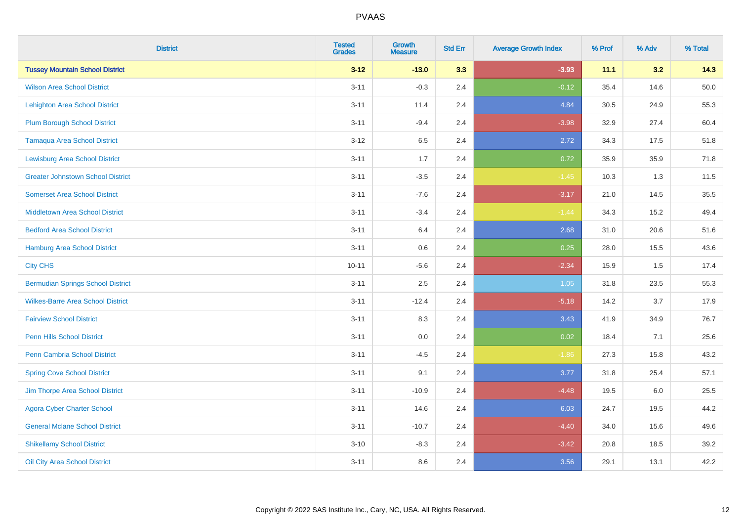| <b>District</b>                          | <b>Tested</b><br><b>Grades</b> | <b>Growth</b><br><b>Measure</b> | <b>Std Err</b> | <b>Average Growth Index</b> | % Prof | % Adv | % Total  |
|------------------------------------------|--------------------------------|---------------------------------|----------------|-----------------------------|--------|-------|----------|
| <b>Tussey Mountain School District</b>   | $3 - 12$                       | $-13.0$                         | 3.3            | $-3.93$                     | 11.1   | 3.2   | 14.3     |
| <b>Wilson Area School District</b>       | $3 - 11$                       | $-0.3$                          | 2.4            | $-0.12$                     | 35.4   | 14.6  | $50.0\,$ |
| <b>Lehighton Area School District</b>    | $3 - 11$                       | 11.4                            | 2.4            | 4.84                        | 30.5   | 24.9  | 55.3     |
| <b>Plum Borough School District</b>      | $3 - 11$                       | $-9.4$                          | 2.4            | $-3.98$                     | 32.9   | 27.4  | 60.4     |
| <b>Tamaqua Area School District</b>      | $3 - 12$                       | 6.5                             | 2.4            | 2.72                        | 34.3   | 17.5  | 51.8     |
| <b>Lewisburg Area School District</b>    | $3 - 11$                       | 1.7                             | 2.4            | 0.72                        | 35.9   | 35.9  | 71.8     |
| <b>Greater Johnstown School District</b> | $3 - 11$                       | $-3.5$                          | 2.4            | $-1.45$                     | 10.3   | 1.3   | 11.5     |
| <b>Somerset Area School District</b>     | $3 - 11$                       | $-7.6$                          | 2.4            | $-3.17$                     | 21.0   | 14.5  | 35.5     |
| <b>Middletown Area School District</b>   | $3 - 11$                       | $-3.4$                          | 2.4            | $-1.44$                     | 34.3   | 15.2  | 49.4     |
| <b>Bedford Area School District</b>      | $3 - 11$                       | 6.4                             | 2.4            | 2.68                        | 31.0   | 20.6  | 51.6     |
| Hamburg Area School District             | $3 - 11$                       | 0.6                             | 2.4            | 0.25                        | 28.0   | 15.5  | 43.6     |
| <b>City CHS</b>                          | $10 - 11$                      | $-5.6$                          | 2.4            | $-2.34$                     | 15.9   | 1.5   | 17.4     |
| <b>Bermudian Springs School District</b> | $3 - 11$                       | 2.5                             | 2.4            | $1.05$                      | 31.8   | 23.5  | 55.3     |
| <b>Wilkes-Barre Area School District</b> | $3 - 11$                       | $-12.4$                         | 2.4            | $-5.18$                     | 14.2   | 3.7   | 17.9     |
| <b>Fairview School District</b>          | $3 - 11$                       | 8.3                             | 2.4            | 3.43                        | 41.9   | 34.9  | 76.7     |
| <b>Penn Hills School District</b>        | $3 - 11$                       | 0.0                             | 2.4            | 0.02                        | 18.4   | 7.1   | 25.6     |
| Penn Cambria School District             | $3 - 11$                       | $-4.5$                          | 2.4            | $-1.86$                     | 27.3   | 15.8  | 43.2     |
| <b>Spring Cove School District</b>       | $3 - 11$                       | 9.1                             | 2.4            | 3.77                        | 31.8   | 25.4  | 57.1     |
| Jim Thorpe Area School District          | $3 - 11$                       | $-10.9$                         | 2.4            | $-4.48$                     | 19.5   | 6.0   | 25.5     |
| <b>Agora Cyber Charter School</b>        | $3 - 11$                       | 14.6                            | 2.4            | 6.03                        | 24.7   | 19.5  | 44.2     |
| <b>General Mclane School District</b>    | $3 - 11$                       | $-10.7$                         | 2.4            | $-4.40$                     | 34.0   | 15.6  | 49.6     |
| <b>Shikellamy School District</b>        | $3 - 10$                       | $-8.3$                          | 2.4            | $-3.42$                     | 20.8   | 18.5  | 39.2     |
| Oil City Area School District            | $3 - 11$                       | 8.6                             | 2.4            | 3.56                        | 29.1   | 13.1  | 42.2     |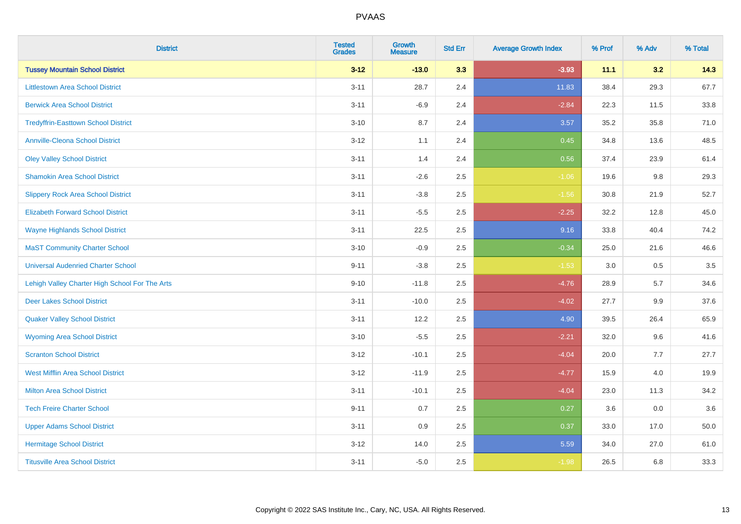| <b>District</b>                                | <b>Tested</b><br><b>Grades</b> | <b>Growth</b><br><b>Measure</b> | <b>Std Err</b> | <b>Average Growth Index</b> | % Prof | % Adv | % Total |
|------------------------------------------------|--------------------------------|---------------------------------|----------------|-----------------------------|--------|-------|---------|
| <b>Tussey Mountain School District</b>         | $3 - 12$                       | $-13.0$                         | 3.3            | $-3.93$                     | 11.1   | 3.2   | 14.3    |
| <b>Littlestown Area School District</b>        | $3 - 11$                       | 28.7                            | 2.4            | 11.83                       | 38.4   | 29.3  | 67.7    |
| <b>Berwick Area School District</b>            | $3 - 11$                       | $-6.9$                          | 2.4            | $-2.84$                     | 22.3   | 11.5  | 33.8    |
| <b>Tredyffrin-Easttown School District</b>     | $3 - 10$                       | 8.7                             | 2.4            | 3.57                        | 35.2   | 35.8  | 71.0    |
| <b>Annville-Cleona School District</b>         | $3 - 12$                       | 1.1                             | 2.4            | 0.45                        | 34.8   | 13.6  | 48.5    |
| <b>Oley Valley School District</b>             | $3 - 11$                       | 1.4                             | 2.4            | 0.56                        | 37.4   | 23.9  | 61.4    |
| <b>Shamokin Area School District</b>           | $3 - 11$                       | $-2.6$                          | 2.5            | $-1.06$                     | 19.6   | 9.8   | 29.3    |
| <b>Slippery Rock Area School District</b>      | $3 - 11$                       | $-3.8$                          | 2.5            | $-1.56$                     | 30.8   | 21.9  | 52.7    |
| <b>Elizabeth Forward School District</b>       | $3 - 11$                       | $-5.5$                          | 2.5            | $-2.25$                     | 32.2   | 12.8  | 45.0    |
| <b>Wayne Highlands School District</b>         | $3 - 11$                       | 22.5                            | 2.5            | 9.16                        | 33.8   | 40.4  | 74.2    |
| <b>MaST Community Charter School</b>           | $3 - 10$                       | $-0.9$                          | 2.5            | $-0.34$                     | 25.0   | 21.6  | 46.6    |
| <b>Universal Audenried Charter School</b>      | $9 - 11$                       | $-3.8$                          | 2.5            | $-1.53$                     | 3.0    | 0.5   | 3.5     |
| Lehigh Valley Charter High School For The Arts | $9 - 10$                       | $-11.8$                         | 2.5            | $-4.76$                     | 28.9   | 5.7   | 34.6    |
| <b>Deer Lakes School District</b>              | $3 - 11$                       | $-10.0$                         | 2.5            | $-4.02$                     | 27.7   | 9.9   | 37.6    |
| <b>Quaker Valley School District</b>           | $3 - 11$                       | 12.2                            | 2.5            | 4.90                        | 39.5   | 26.4  | 65.9    |
| <b>Wyoming Area School District</b>            | $3 - 10$                       | $-5.5$                          | 2.5            | $-2.21$                     | 32.0   | 9.6   | 41.6    |
| <b>Scranton School District</b>                | $3 - 12$                       | $-10.1$                         | 2.5            | $-4.04$                     | 20.0   | 7.7   | 27.7    |
| <b>West Mifflin Area School District</b>       | $3 - 12$                       | $-11.9$                         | 2.5            | $-4.77$                     | 15.9   | 4.0   | 19.9    |
| <b>Milton Area School District</b>             | $3 - 11$                       | $-10.1$                         | 2.5            | $-4.04$                     | 23.0   | 11.3  | 34.2    |
| <b>Tech Freire Charter School</b>              | $9 - 11$                       | 0.7                             | 2.5            | 0.27                        | 3.6    | 0.0   | 3.6     |
| <b>Upper Adams School District</b>             | $3 - 11$                       | 0.9                             | 2.5            | 0.37                        | 33.0   | 17.0  | 50.0    |
| <b>Hermitage School District</b>               | $3 - 12$                       | 14.0                            | 2.5            | 5.59                        | 34.0   | 27.0  | 61.0    |
| <b>Titusville Area School District</b>         | $3 - 11$                       | $-5.0$                          | 2.5            | $-1.98$                     | 26.5   | 6.8   | 33.3    |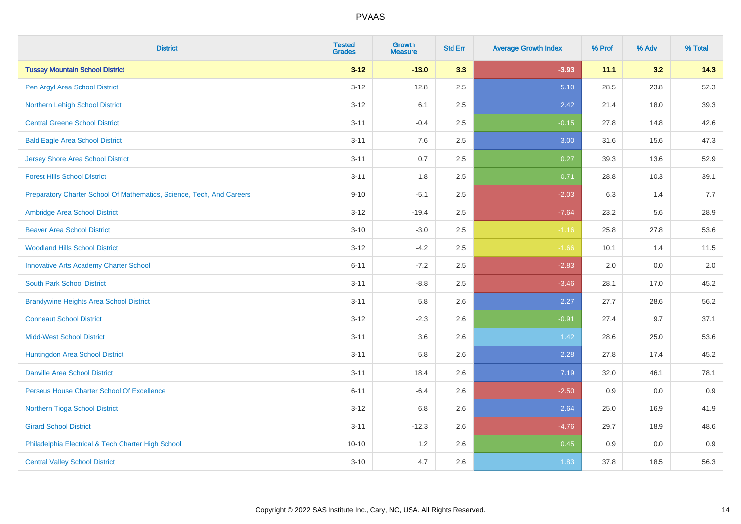| <b>District</b>                                                       | <b>Tested</b><br><b>Grades</b> | Growth<br><b>Measure</b> | <b>Std Err</b> | <b>Average Growth Index</b> | % Prof | % Adv | % Total |
|-----------------------------------------------------------------------|--------------------------------|--------------------------|----------------|-----------------------------|--------|-------|---------|
| <b>Tussey Mountain School District</b>                                | $3 - 12$                       | $-13.0$                  | 3.3            | $-3.93$                     | 11.1   | 3.2   | 14.3    |
| Pen Argyl Area School District                                        | $3 - 12$                       | 12.8                     | 2.5            | 5.10                        | 28.5   | 23.8  | 52.3    |
| Northern Lehigh School District                                       | $3 - 12$                       | 6.1                      | 2.5            | 2.42                        | 21.4   | 18.0  | 39.3    |
| <b>Central Greene School District</b>                                 | $3 - 11$                       | $-0.4$                   | 2.5            | $-0.15$                     | 27.8   | 14.8  | 42.6    |
| <b>Bald Eagle Area School District</b>                                | $3 - 11$                       | 7.6                      | 2.5            | 3.00                        | 31.6   | 15.6  | 47.3    |
| <b>Jersey Shore Area School District</b>                              | $3 - 11$                       | 0.7                      | 2.5            | 0.27                        | 39.3   | 13.6  | 52.9    |
| <b>Forest Hills School District</b>                                   | $3 - 11$                       | 1.8                      | 2.5            | 0.71                        | 28.8   | 10.3  | 39.1    |
| Preparatory Charter School Of Mathematics, Science, Tech, And Careers | $9 - 10$                       | $-5.1$                   | 2.5            | $-2.03$                     | 6.3    | 1.4   | 7.7     |
| Ambridge Area School District                                         | $3 - 12$                       | $-19.4$                  | 2.5            | $-7.64$                     | 23.2   | 5.6   | 28.9    |
| <b>Beaver Area School District</b>                                    | $3 - 10$                       | $-3.0$                   | $2.5\,$        | $-1.16$                     | 25.8   | 27.8  | 53.6    |
| <b>Woodland Hills School District</b>                                 | $3 - 12$                       | $-4.2$                   | 2.5            | $-1.66$                     | 10.1   | 1.4   | 11.5    |
| <b>Innovative Arts Academy Charter School</b>                         | $6 - 11$                       | $-7.2$                   | 2.5            | $-2.83$                     | 2.0    | 0.0   | 2.0     |
| <b>South Park School District</b>                                     | $3 - 11$                       | $-8.8$                   | 2.5            | $-3.46$                     | 28.1   | 17.0  | 45.2    |
| <b>Brandywine Heights Area School District</b>                        | $3 - 11$                       | 5.8                      | 2.6            | 2.27                        | 27.7   | 28.6  | 56.2    |
| <b>Conneaut School District</b>                                       | $3 - 12$                       | $-2.3$                   | 2.6            | $-0.91$                     | 27.4   | 9.7   | 37.1    |
| <b>Midd-West School District</b>                                      | $3 - 11$                       | 3.6                      | 2.6            | 1.42                        | 28.6   | 25.0  | 53.6    |
| Huntingdon Area School District                                       | $3 - 11$                       | 5.8                      | 2.6            | 2.28                        | 27.8   | 17.4  | 45.2    |
| <b>Danville Area School District</b>                                  | $3 - 11$                       | 18.4                     | 2.6            | 7.19                        | 32.0   | 46.1  | 78.1    |
| Perseus House Charter School Of Excellence                            | $6 - 11$                       | $-6.4$                   | 2.6            | $-2.50$                     | 0.9    | 0.0   | 0.9     |
| Northern Tioga School District                                        | $3 - 12$                       | 6.8                      | 2.6            | 2.64                        | 25.0   | 16.9  | 41.9    |
| <b>Girard School District</b>                                         | $3 - 11$                       | $-12.3$                  | 2.6            | $-4.76$                     | 29.7   | 18.9  | 48.6    |
| Philadelphia Electrical & Tech Charter High School                    | $10 - 10$                      | 1.2                      | 2.6            | 0.45                        | 0.9    | 0.0   | 0.9     |
| <b>Central Valley School District</b>                                 | $3 - 10$                       | 4.7                      | 2.6            | 1.83                        | 37.8   | 18.5  | 56.3    |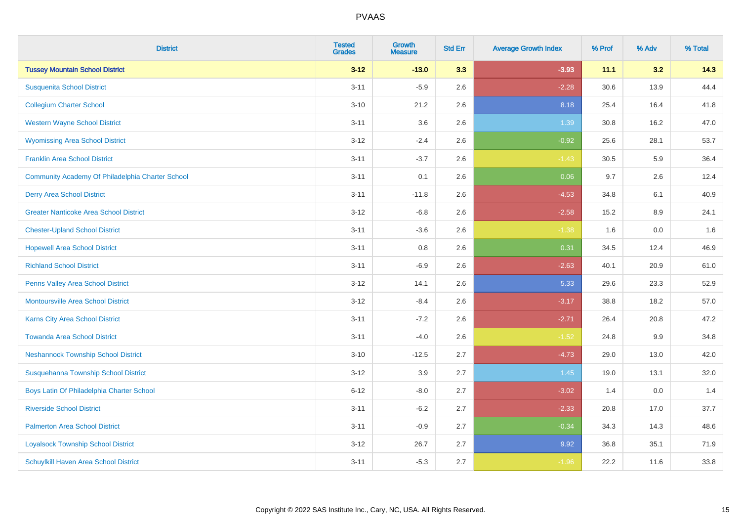| <b>District</b>                                  | <b>Tested</b><br><b>Grades</b> | Growth<br><b>Measure</b> | <b>Std Err</b> | <b>Average Growth Index</b> | % Prof | % Adv | % Total |
|--------------------------------------------------|--------------------------------|--------------------------|----------------|-----------------------------|--------|-------|---------|
| <b>Tussey Mountain School District</b>           | $3 - 12$                       | $-13.0$                  | 3.3            | $-3.93$                     | 11.1   | 3.2   | 14.3    |
| <b>Susquenita School District</b>                | $3 - 11$                       | $-5.9$                   | 2.6            | $-2.28$                     | 30.6   | 13.9  | 44.4    |
| <b>Collegium Charter School</b>                  | $3 - 10$                       | 21.2                     | 2.6            | 8.18                        | 25.4   | 16.4  | 41.8    |
| <b>Western Wayne School District</b>             | $3 - 11$                       | 3.6                      | 2.6            | 1.39                        | 30.8   | 16.2  | 47.0    |
| <b>Wyomissing Area School District</b>           | $3 - 12$                       | $-2.4$                   | 2.6            | $-0.92$                     | 25.6   | 28.1  | 53.7    |
| <b>Franklin Area School District</b>             | $3 - 11$                       | $-3.7$                   | 2.6            | $-1.43$                     | 30.5   | 5.9   | 36.4    |
| Community Academy Of Philadelphia Charter School | $3 - 11$                       | 0.1                      | 2.6            | 0.06                        | 9.7    | 2.6   | 12.4    |
| <b>Derry Area School District</b>                | $3 - 11$                       | $-11.8$                  | 2.6            | $-4.53$                     | 34.8   | 6.1   | 40.9    |
| <b>Greater Nanticoke Area School District</b>    | $3 - 12$                       | $-6.8$                   | 2.6            | $-2.58$                     | 15.2   | 8.9   | 24.1    |
| <b>Chester-Upland School District</b>            | $3 - 11$                       | $-3.6$                   | 2.6            | $-1.38$                     | 1.6    | 0.0   | 1.6     |
| <b>Hopewell Area School District</b>             | $3 - 11$                       | 0.8                      | 2.6            | 0.31                        | 34.5   | 12.4  | 46.9    |
| <b>Richland School District</b>                  | $3 - 11$                       | $-6.9$                   | 2.6            | $-2.63$                     | 40.1   | 20.9  | 61.0    |
| Penns Valley Area School District                | $3 - 12$                       | 14.1                     | 2.6            | 5.33                        | 29.6   | 23.3  | 52.9    |
| <b>Montoursville Area School District</b>        | $3 - 12$                       | $-8.4$                   | 2.6            | $-3.17$                     | 38.8   | 18.2  | 57.0    |
| Karns City Area School District                  | $3 - 11$                       | $-7.2$                   | 2.6            | $-2.71$                     | 26.4   | 20.8  | 47.2    |
| <b>Towanda Area School District</b>              | $3 - 11$                       | $-4.0$                   | 2.6            | $-1.52$                     | 24.8   | 9.9   | 34.8    |
| <b>Neshannock Township School District</b>       | $3 - 10$                       | $-12.5$                  | 2.7            | $-4.73$                     | 29.0   | 13.0  | 42.0    |
| Susquehanna Township School District             | $3 - 12$                       | 3.9                      | 2.7            | 1.45                        | 19.0   | 13.1  | 32.0    |
| Boys Latin Of Philadelphia Charter School        | $6 - 12$                       | $-8.0$                   | 2.7            | $-3.02$                     | 1.4    | 0.0   | 1.4     |
| <b>Riverside School District</b>                 | $3 - 11$                       | $-6.2$                   | 2.7            | $-2.33$                     | 20.8   | 17.0  | 37.7    |
| <b>Palmerton Area School District</b>            | $3 - 11$                       | $-0.9$                   | 2.7            | $-0.34$                     | 34.3   | 14.3  | 48.6    |
| <b>Loyalsock Township School District</b>        | $3 - 12$                       | 26.7                     | 2.7            | 9.92                        | 36.8   | 35.1  | 71.9    |
| Schuylkill Haven Area School District            | $3 - 11$                       | $-5.3$                   | 2.7            | $-1.96$                     | 22.2   | 11.6  | 33.8    |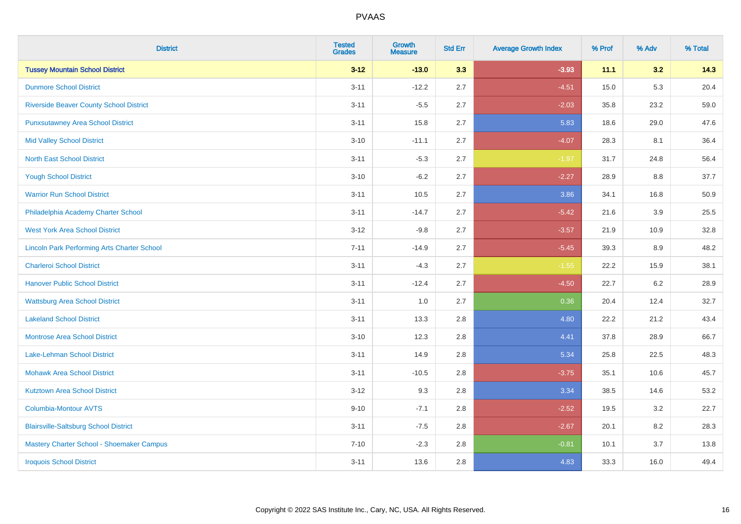| <b>District</b>                                    | <b>Tested</b><br><b>Grades</b> | <b>Growth</b><br><b>Measure</b> | <b>Std Err</b> | <b>Average Growth Index</b> | % Prof | % Adv   | % Total |
|----------------------------------------------------|--------------------------------|---------------------------------|----------------|-----------------------------|--------|---------|---------|
| <b>Tussey Mountain School District</b>             | $3 - 12$                       | $-13.0$                         | 3.3            | $-3.93$                     | 11.1   | 3.2     | 14.3    |
| <b>Dunmore School District</b>                     | $3 - 11$                       | $-12.2$                         | 2.7            | $-4.51$                     | 15.0   | 5.3     | 20.4    |
| <b>Riverside Beaver County School District</b>     | $3 - 11$                       | $-5.5$                          | 2.7            | $-2.03$                     | 35.8   | 23.2    | 59.0    |
| <b>Punxsutawney Area School District</b>           | $3 - 11$                       | 15.8                            | 2.7            | 5.83                        | 18.6   | 29.0    | 47.6    |
| <b>Mid Valley School District</b>                  | $3 - 10$                       | $-11.1$                         | 2.7            | $-4.07$                     | 28.3   | 8.1     | 36.4    |
| <b>North East School District</b>                  | $3 - 11$                       | $-5.3$                          | 2.7            | $-1.97$                     | 31.7   | 24.8    | 56.4    |
| <b>Yough School District</b>                       | $3 - 10$                       | $-6.2$                          | 2.7            | $-2.27$                     | 28.9   | 8.8     | 37.7    |
| <b>Warrior Run School District</b>                 | $3 - 11$                       | 10.5                            | 2.7            | 3.86                        | 34.1   | 16.8    | 50.9    |
| Philadelphia Academy Charter School                | $3 - 11$                       | $-14.7$                         | 2.7            | $-5.42$                     | 21.6   | 3.9     | 25.5    |
| <b>West York Area School District</b>              | $3 - 12$                       | $-9.8$                          | 2.7            | $-3.57$                     | 21.9   | 10.9    | 32.8    |
| <b>Lincoln Park Performing Arts Charter School</b> | $7 - 11$                       | $-14.9$                         | 2.7            | $-5.45$                     | 39.3   | 8.9     | 48.2    |
| <b>Charleroi School District</b>                   | $3 - 11$                       | $-4.3$                          | 2.7            | $-1.55$                     | 22.2   | 15.9    | 38.1    |
| <b>Hanover Public School District</b>              | $3 - 11$                       | $-12.4$                         | 2.7            | $-4.50$                     | 22.7   | $6.2\,$ | 28.9    |
| <b>Wattsburg Area School District</b>              | $3 - 11$                       | 1.0                             | 2.7            | 0.36                        | 20.4   | 12.4    | 32.7    |
| <b>Lakeland School District</b>                    | $3 - 11$                       | 13.3                            | 2.8            | 4.80                        | 22.2   | 21.2    | 43.4    |
| <b>Montrose Area School District</b>               | $3 - 10$                       | 12.3                            | 2.8            | 4.41                        | 37.8   | 28.9    | 66.7    |
| Lake-Lehman School District                        | $3 - 11$                       | 14.9                            | 2.8            | 5.34                        | 25.8   | 22.5    | 48.3    |
| <b>Mohawk Area School District</b>                 | $3 - 11$                       | $-10.5$                         | 2.8            | $-3.75$                     | 35.1   | 10.6    | 45.7    |
| <b>Kutztown Area School District</b>               | $3 - 12$                       | 9.3                             | 2.8            | 3.34                        | 38.5   | 14.6    | 53.2    |
| <b>Columbia-Montour AVTS</b>                       | $9 - 10$                       | $-7.1$                          | 2.8            | $-2.52$                     | 19.5   | 3.2     | 22.7    |
| <b>Blairsville-Saltsburg School District</b>       | $3 - 11$                       | $-7.5$                          | 2.8            | $-2.67$                     | 20.1   | 8.2     | 28.3    |
| Mastery Charter School - Shoemaker Campus          | $7 - 10$                       | $-2.3$                          | 2.8            | $-0.81$                     | 10.1   | 3.7     | 13.8    |
| <b>Iroquois School District</b>                    | $3 - 11$                       | 13.6                            | 2.8            | 4.83                        | 33.3   | 16.0    | 49.4    |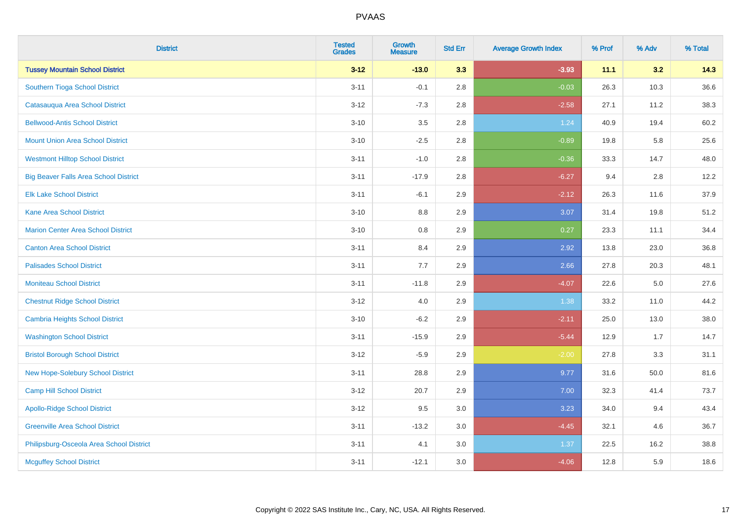| <b>District</b>                              | <b>Tested</b><br><b>Grades</b> | <b>Growth</b><br><b>Measure</b> | <b>Std Err</b> | <b>Average Growth Index</b> | % Prof | % Adv   | % Total |
|----------------------------------------------|--------------------------------|---------------------------------|----------------|-----------------------------|--------|---------|---------|
| <b>Tussey Mountain School District</b>       | $3 - 12$                       | $-13.0$                         | 3.3            | $-3.93$                     | 11.1   | 3.2     | 14.3    |
| Southern Tioga School District               | $3 - 11$                       | $-0.1$                          | 2.8            | $-0.03$                     | 26.3   | 10.3    | 36.6    |
| Catasauqua Area School District              | $3 - 12$                       | $-7.3$                          | 2.8            | $-2.58$                     | 27.1   | 11.2    | 38.3    |
| <b>Bellwood-Antis School District</b>        | $3 - 10$                       | 3.5                             | 2.8            | 1.24                        | 40.9   | 19.4    | 60.2    |
| <b>Mount Union Area School District</b>      | $3 - 10$                       | $-2.5$                          | 2.8            | $-0.89$                     | 19.8   | 5.8     | 25.6    |
| <b>Westmont Hilltop School District</b>      | $3 - 11$                       | $-1.0$                          | 2.8            | $-0.36$                     | 33.3   | 14.7    | 48.0    |
| <b>Big Beaver Falls Area School District</b> | $3 - 11$                       | $-17.9$                         | 2.8            | $-6.27$                     | 9.4    | 2.8     | 12.2    |
| <b>Elk Lake School District</b>              | $3 - 11$                       | $-6.1$                          | 2.9            | $-2.12$                     | 26.3   | 11.6    | 37.9    |
| <b>Kane Area School District</b>             | $3 - 10$                       | 8.8                             | 2.9            | 3.07                        | 31.4   | 19.8    | 51.2    |
| <b>Marion Center Area School District</b>    | $3 - 10$                       | 0.8                             | 2.9            | 0.27                        | 23.3   | 11.1    | 34.4    |
| <b>Canton Area School District</b>           | $3 - 11$                       | 8.4                             | 2.9            | 2.92                        | 13.8   | 23.0    | 36.8    |
| <b>Palisades School District</b>             | $3 - 11$                       | 7.7                             | 2.9            | 2.66                        | 27.8   | 20.3    | 48.1    |
| <b>Moniteau School District</b>              | $3 - 11$                       | $-11.8$                         | 2.9            | $-4.07$                     | 22.6   | $5.0\,$ | 27.6    |
| <b>Chestnut Ridge School District</b>        | $3 - 12$                       | $4.0\,$                         | 2.9            | 1.38                        | 33.2   | 11.0    | 44.2    |
| <b>Cambria Heights School District</b>       | $3 - 10$                       | $-6.2$                          | 2.9            | $-2.11$                     | 25.0   | 13.0    | 38.0    |
| <b>Washington School District</b>            | $3 - 11$                       | $-15.9$                         | 2.9            | $-5.44$                     | 12.9   | 1.7     | 14.7    |
| <b>Bristol Borough School District</b>       | $3 - 12$                       | $-5.9$                          | 2.9            | $-2.00$                     | 27.8   | 3.3     | 31.1    |
| New Hope-Solebury School District            | $3 - 11$                       | 28.8                            | 2.9            | 9.77                        | 31.6   | 50.0    | 81.6    |
| Camp Hill School District                    | $3 - 12$                       | 20.7                            | 2.9            | 7.00                        | 32.3   | 41.4    | 73.7    |
| <b>Apollo-Ridge School District</b>          | $3 - 12$                       | 9.5                             | 3.0            | 3.23                        | 34.0   | 9.4     | 43.4    |
| <b>Greenville Area School District</b>       | $3 - 11$                       | $-13.2$                         | 3.0            | $-4.45$                     | 32.1   | 4.6     | 36.7    |
| Philipsburg-Osceola Area School District     | $3 - 11$                       | 4.1                             | 3.0            | 1.37                        | 22.5   | 16.2    | 38.8    |
| <b>Mcguffey School District</b>              | $3 - 11$                       | $-12.1$                         | 3.0            | $-4.06$                     | 12.8   | 5.9     | 18.6    |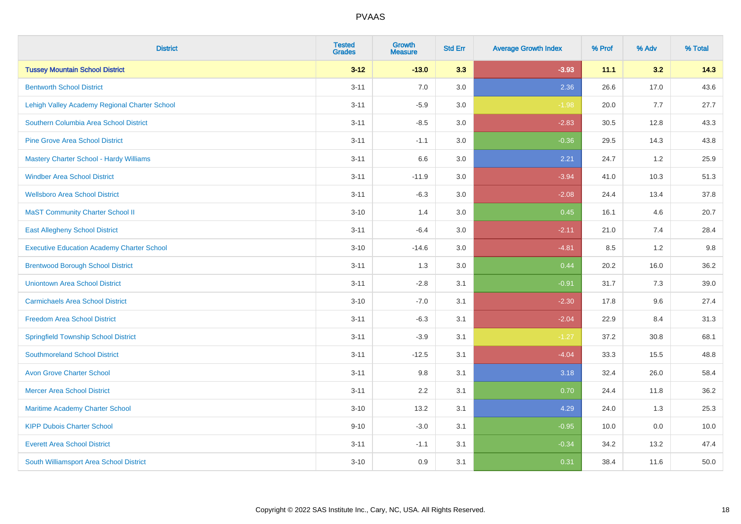| <b>District</b>                                   | <b>Tested</b><br><b>Grades</b> | <b>Growth</b><br><b>Measure</b> | <b>Std Err</b> | <b>Average Growth Index</b> | % Prof | % Adv | % Total |
|---------------------------------------------------|--------------------------------|---------------------------------|----------------|-----------------------------|--------|-------|---------|
| <b>Tussey Mountain School District</b>            | $3 - 12$                       | $-13.0$                         | 3.3            | $-3.93$                     | 11.1   | 3.2   | 14.3    |
| <b>Bentworth School District</b>                  | $3 - 11$                       | 7.0                             | 3.0            | 2.36                        | 26.6   | 17.0  | 43.6    |
| Lehigh Valley Academy Regional Charter School     | $3 - 11$                       | $-5.9$                          | 3.0            | $-1.98$                     | 20.0   | 7.7   | 27.7    |
| Southern Columbia Area School District            | $3 - 11$                       | $-8.5$                          | 3.0            | $-2.83$                     | 30.5   | 12.8  | 43.3    |
| <b>Pine Grove Area School District</b>            | $3 - 11$                       | $-1.1$                          | 3.0            | $-0.36$                     | 29.5   | 14.3  | 43.8    |
| <b>Mastery Charter School - Hardy Williams</b>    | $3 - 11$                       | 6.6                             | 3.0            | 2.21                        | 24.7   | 1.2   | 25.9    |
| <b>Windber Area School District</b>               | $3 - 11$                       | $-11.9$                         | 3.0            | $-3.94$                     | 41.0   | 10.3  | 51.3    |
| <b>Wellsboro Area School District</b>             | $3 - 11$                       | $-6.3$                          | 3.0            | $-2.08$                     | 24.4   | 13.4  | 37.8    |
| <b>MaST Community Charter School II</b>           | $3 - 10$                       | 1.4                             | 3.0            | 0.45                        | 16.1   | 4.6   | 20.7    |
| <b>East Allegheny School District</b>             | $3 - 11$                       | $-6.4$                          | 3.0            | $-2.11$                     | 21.0   | 7.4   | 28.4    |
| <b>Executive Education Academy Charter School</b> | $3 - 10$                       | $-14.6$                         | 3.0            | $-4.81$                     | 8.5    | 1.2   | 9.8     |
| <b>Brentwood Borough School District</b>          | $3 - 11$                       | 1.3                             | 3.0            | 0.44                        | 20.2   | 16.0  | 36.2    |
| <b>Uniontown Area School District</b>             | $3 - 11$                       | $-2.8$                          | 3.1            | $-0.91$                     | 31.7   | 7.3   | 39.0    |
| <b>Carmichaels Area School District</b>           | $3 - 10$                       | $-7.0$                          | 3.1            | $-2.30$                     | 17.8   | 9.6   | 27.4    |
| <b>Freedom Area School District</b>               | $3 - 11$                       | $-6.3$                          | 3.1            | $-2.04$                     | 22.9   | 8.4   | 31.3    |
| <b>Springfield Township School District</b>       | $3 - 11$                       | $-3.9$                          | 3.1            | $-1.27$                     | 37.2   | 30.8  | 68.1    |
| <b>Southmoreland School District</b>              | $3 - 11$                       | $-12.5$                         | 3.1            | $-4.04$                     | 33.3   | 15.5  | 48.8    |
| <b>Avon Grove Charter School</b>                  | $3 - 11$                       | 9.8                             | 3.1            | 3.18                        | 32.4   | 26.0  | 58.4    |
| <b>Mercer Area School District</b>                | $3 - 11$                       | 2.2                             | 3.1            | 0.70                        | 24.4   | 11.8  | 36.2    |
| Maritime Academy Charter School                   | $3 - 10$                       | 13.2                            | 3.1            | 4.29                        | 24.0   | 1.3   | 25.3    |
| <b>KIPP Dubois Charter School</b>                 | $9 - 10$                       | $-3.0$                          | 3.1            | $-0.95$                     | 10.0   | 0.0   | 10.0    |
| <b>Everett Area School District</b>               | $3 - 11$                       | $-1.1$                          | 3.1            | $-0.34$                     | 34.2   | 13.2  | 47.4    |
| South Williamsport Area School District           | $3 - 10$                       | 0.9                             | 3.1            | 0.31                        | 38.4   | 11.6  | 50.0    |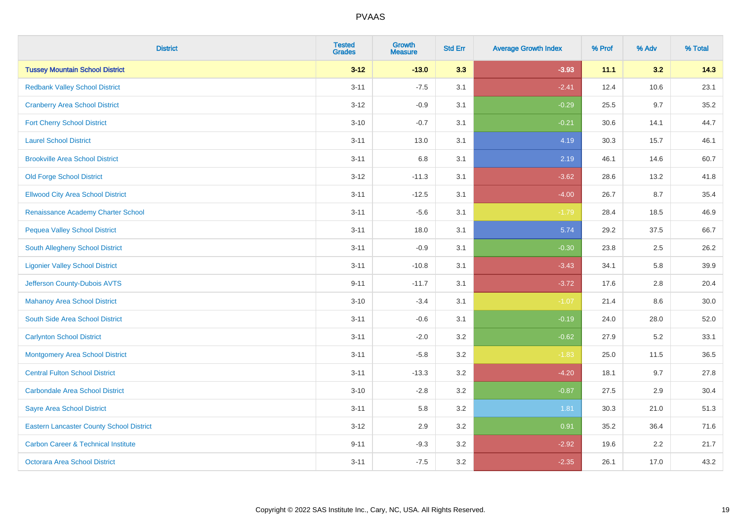| <b>District</b>                                 | <b>Tested</b><br><b>Grades</b> | <b>Growth</b><br><b>Measure</b> | <b>Std Err</b> | <b>Average Growth Index</b> | % Prof | % Adv | % Total |
|-------------------------------------------------|--------------------------------|---------------------------------|----------------|-----------------------------|--------|-------|---------|
| <b>Tussey Mountain School District</b>          | $3 - 12$                       | $-13.0$                         | 3.3            | $-3.93$                     | 11.1   | 3.2   | 14.3    |
| <b>Redbank Valley School District</b>           | $3 - 11$                       | $-7.5$                          | 3.1            | $-2.41$                     | 12.4   | 10.6  | 23.1    |
| <b>Cranberry Area School District</b>           | $3 - 12$                       | $-0.9$                          | 3.1            | $-0.29$                     | 25.5   | 9.7   | 35.2    |
| <b>Fort Cherry School District</b>              | $3 - 10$                       | $-0.7$                          | 3.1            | $-0.21$                     | 30.6   | 14.1  | 44.7    |
| <b>Laurel School District</b>                   | $3 - 11$                       | 13.0                            | 3.1            | 4.19                        | 30.3   | 15.7  | 46.1    |
| <b>Brookville Area School District</b>          | $3 - 11$                       | 6.8                             | 3.1            | 2.19                        | 46.1   | 14.6  | 60.7    |
| <b>Old Forge School District</b>                | $3 - 12$                       | $-11.3$                         | 3.1            | $-3.62$                     | 28.6   | 13.2  | 41.8    |
| <b>Ellwood City Area School District</b>        | $3 - 11$                       | $-12.5$                         | 3.1            | $-4.00$                     | 26.7   | 8.7   | 35.4    |
| Renaissance Academy Charter School              | $3 - 11$                       | $-5.6$                          | 3.1            | $-1.79$                     | 28.4   | 18.5  | 46.9    |
| <b>Pequea Valley School District</b>            | $3 - 11$                       | 18.0                            | 3.1            | 5.74                        | 29.2   | 37.5  | 66.7    |
| South Allegheny School District                 | $3 - 11$                       | $-0.9$                          | 3.1            | $-0.30$                     | 23.8   | 2.5   | 26.2    |
| <b>Ligonier Valley School District</b>          | $3 - 11$                       | $-10.8$                         | 3.1            | $-3.43$                     | 34.1   | 5.8   | 39.9    |
| Jefferson County-Dubois AVTS                    | $9 - 11$                       | $-11.7$                         | 3.1            | $-3.72$                     | 17.6   | 2.8   | 20.4    |
| <b>Mahanoy Area School District</b>             | $3 - 10$                       | $-3.4$                          | 3.1            | $-1.07$                     | 21.4   | 8.6   | 30.0    |
| South Side Area School District                 | $3 - 11$                       | $-0.6$                          | 3.1            | $-0.19$                     | 24.0   | 28.0  | 52.0    |
| <b>Carlynton School District</b>                | $3 - 11$                       | $-2.0$                          | 3.2            | $-0.62$                     | 27.9   | 5.2   | 33.1    |
| <b>Montgomery Area School District</b>          | $3 - 11$                       | $-5.8$                          | 3.2            | $-1.83$                     | 25.0   | 11.5  | 36.5    |
| <b>Central Fulton School District</b>           | $3 - 11$                       | $-13.3$                         | 3.2            | $-4.20$                     | 18.1   | 9.7   | 27.8    |
| <b>Carbondale Area School District</b>          | $3 - 10$                       | $-2.8$                          | 3.2            | $-0.87$                     | 27.5   | 2.9   | 30.4    |
| <b>Sayre Area School District</b>               | $3 - 11$                       | 5.8                             | 3.2            | 1.81                        | 30.3   | 21.0  | 51.3    |
| <b>Eastern Lancaster County School District</b> | $3 - 12$                       | 2.9                             | 3.2            | 0.91                        | 35.2   | 36.4  | 71.6    |
| <b>Carbon Career &amp; Technical Institute</b>  | $9 - 11$                       | $-9.3$                          | 3.2            | $-2.92$                     | 19.6   | 2.2   | 21.7    |
| <b>Octorara Area School District</b>            | $3 - 11$                       | $-7.5$                          | 3.2            | $-2.35$                     | 26.1   | 17.0  | 43.2    |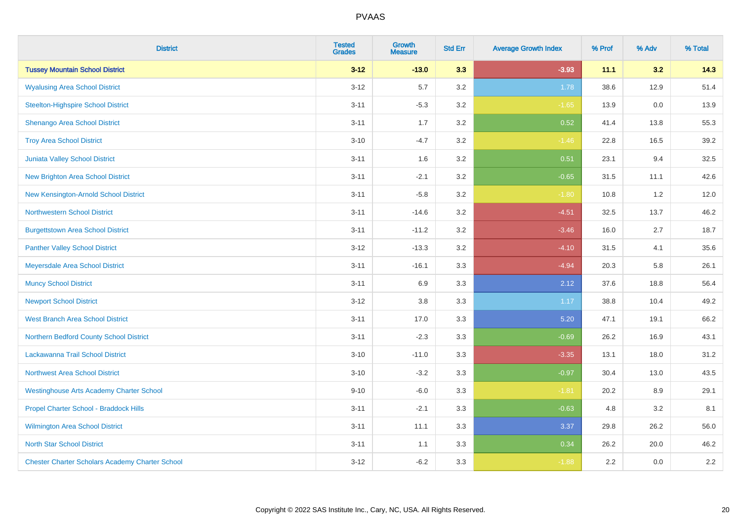| <b>District</b>                                        | <b>Tested</b><br><b>Grades</b> | <b>Growth</b><br><b>Measure</b> | <b>Std Err</b> | <b>Average Growth Index</b> | % Prof | % Adv | % Total |
|--------------------------------------------------------|--------------------------------|---------------------------------|----------------|-----------------------------|--------|-------|---------|
| <b>Tussey Mountain School District</b>                 | $3 - 12$                       | $-13.0$                         | 3.3            | $-3.93$                     | 11.1   | 3.2   | 14.3    |
| <b>Wyalusing Area School District</b>                  | $3 - 12$                       | 5.7                             | 3.2            | 1.78                        | 38.6   | 12.9  | 51.4    |
| <b>Steelton-Highspire School District</b>              | $3 - 11$                       | $-5.3$                          | 3.2            | $-1.65$                     | 13.9   | 0.0   | 13.9    |
| <b>Shenango Area School District</b>                   | $3 - 11$                       | 1.7                             | 3.2            | 0.52                        | 41.4   | 13.8  | 55.3    |
| <b>Troy Area School District</b>                       | $3 - 10$                       | $-4.7$                          | 3.2            | $-1.46$                     | 22.8   | 16.5  | 39.2    |
| Juniata Valley School District                         | $3 - 11$                       | 1.6                             | 3.2            | 0.51                        | 23.1   | 9.4   | 32.5    |
| <b>New Brighton Area School District</b>               | $3 - 11$                       | $-2.1$                          | 3.2            | $-0.65$                     | 31.5   | 11.1  | 42.6    |
| New Kensington-Arnold School District                  | $3 - 11$                       | $-5.8$                          | 3.2            | $-1.80$                     | 10.8   | 1.2   | 12.0    |
| <b>Northwestern School District</b>                    | $3 - 11$                       | $-14.6$                         | 3.2            | $-4.51$                     | 32.5   | 13.7  | 46.2    |
| <b>Burgettstown Area School District</b>               | $3 - 11$                       | $-11.2$                         | 3.2            | $-3.46$                     | 16.0   | 2.7   | 18.7    |
| <b>Panther Valley School District</b>                  | $3 - 12$                       | $-13.3$                         | 3.2            | $-4.10$                     | 31.5   | 4.1   | 35.6    |
| Meyersdale Area School District                        | $3 - 11$                       | $-16.1$                         | 3.3            | $-4.94$                     | 20.3   | 5.8   | 26.1    |
| <b>Muncy School District</b>                           | $3 - 11$                       | 6.9                             | 3.3            | 2.12                        | 37.6   | 18.8  | 56.4    |
| <b>Newport School District</b>                         | $3 - 12$                       | 3.8                             | 3.3            | 1.17                        | 38.8   | 10.4  | 49.2    |
| <b>West Branch Area School District</b>                | $3 - 11$                       | 17.0                            | 3.3            | 5.20                        | 47.1   | 19.1  | 66.2    |
| Northern Bedford County School District                | $3 - 11$                       | $-2.3$                          | 3.3            | $-0.69$                     | 26.2   | 16.9  | 43.1    |
| Lackawanna Trail School District                       | $3 - 10$                       | $-11.0$                         | 3.3            | $-3.35$                     | 13.1   | 18.0  | 31.2    |
| Northwest Area School District                         | $3 - 10$                       | $-3.2$                          | 3.3            | $-0.97$                     | 30.4   | 13.0  | 43.5    |
| <b>Westinghouse Arts Academy Charter School</b>        | $9 - 10$                       | $-6.0$                          | 3.3            | $-1.81$                     | 20.2   | 8.9   | 29.1    |
| Propel Charter School - Braddock Hills                 | $3 - 11$                       | $-2.1$                          | 3.3            | $-0.63$                     | 4.8    | 3.2   | 8.1     |
| Wilmington Area School District                        | $3 - 11$                       | 11.1                            | 3.3            | 3.37                        | 29.8   | 26.2  | 56.0    |
| <b>North Star School District</b>                      | $3 - 11$                       | 1.1                             | 3.3            | 0.34                        | 26.2   | 20.0  | 46.2    |
| <b>Chester Charter Scholars Academy Charter School</b> | $3 - 12$                       | $-6.2$                          | 3.3            | $-1.88$                     | 2.2    | 0.0   | 2.2     |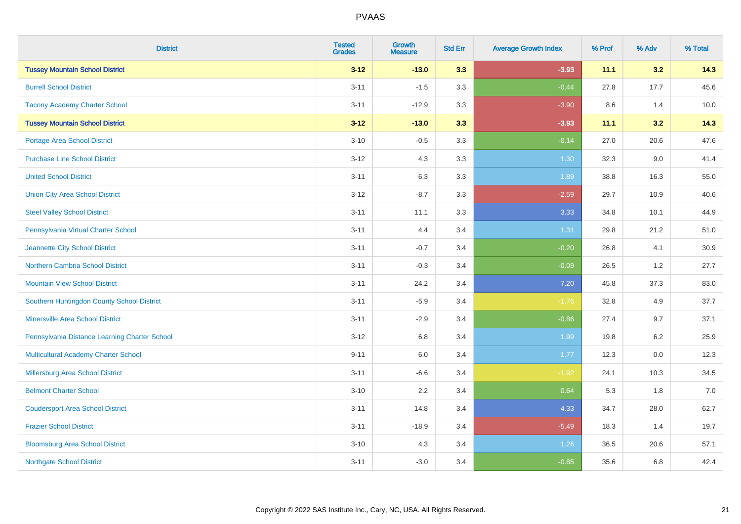| <b>District</b>                               | <b>Tested</b><br><b>Grades</b> | <b>Growth</b><br><b>Measure</b> | <b>Std Err</b> | <b>Average Growth Index</b> | % Prof | % Adv   | % Total |
|-----------------------------------------------|--------------------------------|---------------------------------|----------------|-----------------------------|--------|---------|---------|
| <b>Tussey Mountain School District</b>        | $3 - 12$                       | $-13.0$                         | 3.3            | $-3.93$                     | 11.1   | 3.2     | 14.3    |
| <b>Burrell School District</b>                | $3 - 11$                       | $-1.5$                          | 3.3            | $-0.44$                     | 27.8   | 17.7    | 45.6    |
| <b>Tacony Academy Charter School</b>          | $3 - 11$                       | $-12.9$                         | 3.3            | $-3.90$                     | 8.6    | 1.4     | 10.0    |
| <b>Tussey Mountain School District</b>        | $3 - 12$                       | $-13.0$                         | 3.3            | $-3.93$                     | 11.1   | 3.2     | 14.3    |
| Portage Area School District                  | $3 - 10$                       | $-0.5$                          | 3.3            | $-0.14$                     | 27.0   | 20.6    | 47.6    |
| <b>Purchase Line School District</b>          | $3 - 12$                       | 4.3                             | 3.3            | 1.30                        | 32.3   | 9.0     | 41.4    |
| <b>United School District</b>                 | $3 - 11$                       | 6.3                             | 3.3            | 1.89                        | 38.8   | 16.3    | 55.0    |
| <b>Union City Area School District</b>        | $3 - 12$                       | $-8.7$                          | 3.3            | $-2.59$                     | 29.7   | 10.9    | 40.6    |
| <b>Steel Valley School District</b>           | $3 - 11$                       | 11.1                            | 3.3            | 3.33                        | 34.8   | 10.1    | 44.9    |
| Pennsylvania Virtual Charter School           | $3 - 11$                       | 4.4                             | 3.4            | 1.31                        | 29.8   | 21.2    | 51.0    |
| Jeannette City School District                | $3 - 11$                       | $-0.7$                          | 3.4            | $-0.20$                     | 26.8   | 4.1     | 30.9    |
| <b>Northern Cambria School District</b>       | $3 - 11$                       | $-0.3$                          | 3.4            | $-0.09$                     | 26.5   | 1.2     | 27.7    |
| <b>Mountain View School District</b>          | $3 - 11$                       | 24.2                            | 3.4            | 7.20                        | 45.8   | 37.3    | 83.0    |
| Southern Huntingdon County School District    | $3 - 11$                       | $-5.9$                          | 3.4            | $-1.76$                     | 32.8   | 4.9     | 37.7    |
| <b>Minersville Area School District</b>       | $3 - 11$                       | $-2.9$                          | 3.4            | $-0.86$                     | 27.4   | 9.7     | 37.1    |
| Pennsylvania Distance Learning Charter School | $3 - 12$                       | 6.8                             | 3.4            | 1.99                        | 19.8   | 6.2     | 25.9    |
| <b>Multicultural Academy Charter School</b>   | $9 - 11$                       | 6.0                             | 3.4            | 1.77                        | 12.3   | $0.0\,$ | 12.3    |
| Millersburg Area School District              | $3 - 11$                       | $-6.6$                          | 3.4            | $-1.92$                     | 24.1   | 10.3    | 34.5    |
| <b>Belmont Charter School</b>                 | $3 - 10$                       | 2.2                             | 3.4            | 0.64                        | 5.3    | 1.8     | 7.0     |
| <b>Coudersport Area School District</b>       | $3 - 11$                       | 14.8                            | 3.4            | 4.33                        | 34.7   | 28.0    | 62.7    |
| <b>Frazier School District</b>                | $3 - 11$                       | $-18.9$                         | 3.4            | $-5.49$                     | 18.3   | 1.4     | 19.7    |
| <b>Bloomsburg Area School District</b>        | $3 - 10$                       | 4.3                             | 3.4            | 1.26                        | 36.5   | 20.6    | 57.1    |
| <b>Northgate School District</b>              | $3 - 11$                       | $-3.0$                          | 3.4            | $-0.85$                     | 35.6   | 6.8     | 42.4    |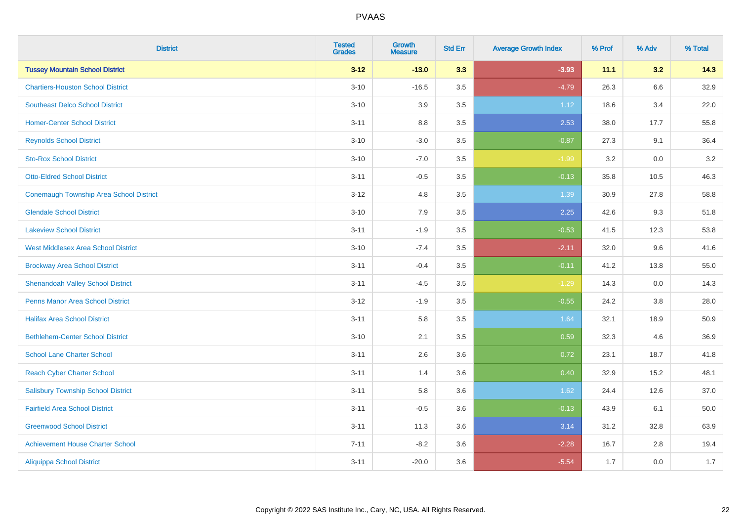| <b>District</b>                                | <b>Tested</b><br><b>Grades</b> | <b>Growth</b><br><b>Measure</b> | <b>Std Err</b> | <b>Average Growth Index</b> | % Prof | % Adv | % Total |
|------------------------------------------------|--------------------------------|---------------------------------|----------------|-----------------------------|--------|-------|---------|
| <b>Tussey Mountain School District</b>         | $3 - 12$                       | $-13.0$                         | 3.3            | $-3.93$                     | 11.1   | 3.2   | 14.3    |
| <b>Chartiers-Houston School District</b>       | $3 - 10$                       | $-16.5$                         | 3.5            | $-4.79$                     | 26.3   | 6.6   | 32.9    |
| <b>Southeast Delco School District</b>         | $3 - 10$                       | 3.9                             | 3.5            | 1.12                        | 18.6   | 3.4   | 22.0    |
| <b>Homer-Center School District</b>            | $3 - 11$                       | $8.8\,$                         | 3.5            | 2.53                        | 38.0   | 17.7  | 55.8    |
| <b>Reynolds School District</b>                | $3 - 10$                       | $-3.0$                          | 3.5            | $-0.87$                     | 27.3   | 9.1   | 36.4    |
| <b>Sto-Rox School District</b>                 | $3 - 10$                       | $-7.0$                          | 3.5            | $-1.99$                     | 3.2    | 0.0   | 3.2     |
| <b>Otto-Eldred School District</b>             | $3 - 11$                       | $-0.5$                          | 3.5            | $-0.13$                     | 35.8   | 10.5  | 46.3    |
| <b>Conemaugh Township Area School District</b> | $3 - 12$                       | 4.8                             | 3.5            | 1.39                        | 30.9   | 27.8  | 58.8    |
| <b>Glendale School District</b>                | $3 - 10$                       | 7.9                             | 3.5            | 2.25                        | 42.6   | 9.3   | 51.8    |
| <b>Lakeview School District</b>                | $3 - 11$                       | $-1.9$                          | 3.5            | $-0.53$                     | 41.5   | 12.3  | 53.8    |
| <b>West Middlesex Area School District</b>     | $3 - 10$                       | $-7.4$                          | 3.5            | $-2.11$                     | 32.0   | 9.6   | 41.6    |
| <b>Brockway Area School District</b>           | $3 - 11$                       | $-0.4$                          | 3.5            | $-0.11$                     | 41.2   | 13.8  | 55.0    |
| <b>Shenandoah Valley School District</b>       | $3 - 11$                       | $-4.5$                          | 3.5            | $-1.29$                     | 14.3   | 0.0   | 14.3    |
| <b>Penns Manor Area School District</b>        | $3 - 12$                       | $-1.9$                          | 3.5            | $-0.55$                     | 24.2   | 3.8   | 28.0    |
| <b>Halifax Area School District</b>            | $3 - 11$                       | 5.8                             | 3.5            | 1.64                        | 32.1   | 18.9  | 50.9    |
| <b>Bethlehem-Center School District</b>        | $3 - 10$                       | 2.1                             | 3.5            | 0.59                        | 32.3   | 4.6   | 36.9    |
| <b>School Lane Charter School</b>              | $3 - 11$                       | 2.6                             | 3.6            | 0.72                        | 23.1   | 18.7  | 41.8    |
| <b>Reach Cyber Charter School</b>              | $3 - 11$                       | 1.4                             | 3.6            | 0.40                        | 32.9   | 15.2  | 48.1    |
| <b>Salisbury Township School District</b>      | $3 - 11$                       | 5.8                             | 3.6            | 1.62                        | 24.4   | 12.6  | 37.0    |
| <b>Fairfield Area School District</b>          | $3 - 11$                       | $-0.5$                          | 3.6            | $-0.13$                     | 43.9   | 6.1   | 50.0    |
| <b>Greenwood School District</b>               | $3 - 11$                       | 11.3                            | 3.6            | 3.14                        | 31.2   | 32.8  | 63.9    |
| <b>Achievement House Charter School</b>        | $7 - 11$                       | $-8.2$                          | 3.6            | $-2.28$                     | 16.7   | 2.8   | 19.4    |
| <b>Aliquippa School District</b>               | $3 - 11$                       | $-20.0$                         | 3.6            | $-5.54$                     | 1.7    | 0.0   | 1.7     |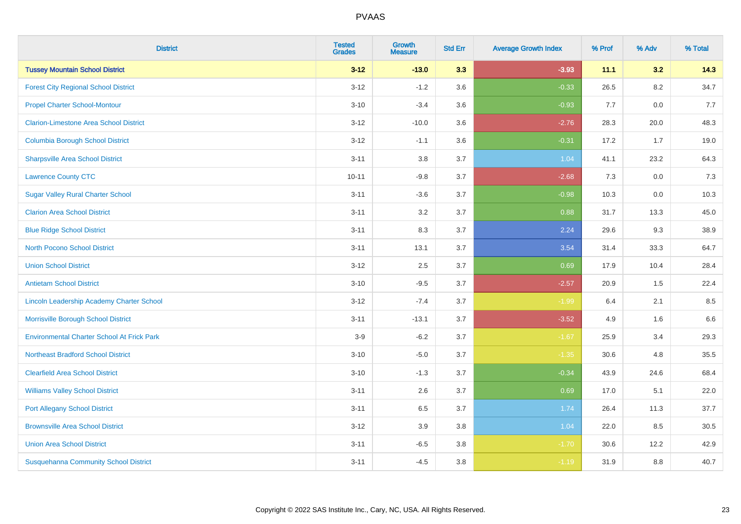| <b>District</b>                                   | <b>Tested</b><br><b>Grades</b> | <b>Growth</b><br><b>Measure</b> | <b>Std Err</b> | <b>Average Growth Index</b> | % Prof | % Adv   | % Total |
|---------------------------------------------------|--------------------------------|---------------------------------|----------------|-----------------------------|--------|---------|---------|
| <b>Tussey Mountain School District</b>            | $3 - 12$                       | $-13.0$                         | 3.3            | $-3.93$                     | 11.1   | 3.2     | 14.3    |
| <b>Forest City Regional School District</b>       | $3 - 12$                       | $-1.2$                          | 3.6            | $-0.33$                     | 26.5   | $8.2\,$ | 34.7    |
| <b>Propel Charter School-Montour</b>              | $3 - 10$                       | $-3.4$                          | 3.6            | $-0.93$                     | 7.7    | 0.0     | 7.7     |
| <b>Clarion-Limestone Area School District</b>     | $3 - 12$                       | $-10.0$                         | 3.6            | $-2.76$                     | 28.3   | 20.0    | 48.3    |
| <b>Columbia Borough School District</b>           | $3 - 12$                       | $-1.1$                          | 3.6            | $-0.31$                     | 17.2   | 1.7     | 19.0    |
| <b>Sharpsville Area School District</b>           | $3 - 11$                       | 3.8                             | 3.7            | 1.04                        | 41.1   | 23.2    | 64.3    |
| <b>Lawrence County CTC</b>                        | $10 - 11$                      | $-9.8$                          | 3.7            | $-2.68$                     | 7.3    | 0.0     | 7.3     |
| <b>Sugar Valley Rural Charter School</b>          | $3 - 11$                       | $-3.6$                          | 3.7            | $-0.98$                     | 10.3   | 0.0     | 10.3    |
| <b>Clarion Area School District</b>               | $3 - 11$                       | 3.2                             | 3.7            | 0.88                        | 31.7   | 13.3    | 45.0    |
| <b>Blue Ridge School District</b>                 | $3 - 11$                       | 8.3                             | 3.7            | 2.24                        | 29.6   | 9.3     | 38.9    |
| <b>North Pocono School District</b>               | $3 - 11$                       | 13.1                            | 3.7            | 3.54                        | 31.4   | 33.3    | 64.7    |
| <b>Union School District</b>                      | $3 - 12$                       | 2.5                             | 3.7            | 0.69                        | 17.9   | 10.4    | 28.4    |
| <b>Antietam School District</b>                   | $3 - 10$                       | $-9.5$                          | 3.7            | $-2.57$                     | 20.9   | $1.5\,$ | 22.4    |
| Lincoln Leadership Academy Charter School         | $3 - 12$                       | $-7.4$                          | 3.7            | $-1.99$                     | 6.4    | 2.1     | 8.5     |
| Morrisville Borough School District               | $3 - 11$                       | $-13.1$                         | 3.7            | $-3.52$                     | 4.9    | 1.6     | 6.6     |
| <b>Environmental Charter School At Frick Park</b> | $3-9$                          | $-6.2$                          | 3.7            | $-1.67$                     | 25.9   | 3.4     | 29.3    |
| <b>Northeast Bradford School District</b>         | $3 - 10$                       | $-5.0$                          | 3.7            | $-1.35$                     | 30.6   | 4.8     | 35.5    |
| <b>Clearfield Area School District</b>            | $3 - 10$                       | $-1.3$                          | 3.7            | $-0.34$                     | 43.9   | 24.6    | 68.4    |
| <b>Williams Valley School District</b>            | $3 - 11$                       | 2.6                             | 3.7            | 0.69                        | 17.0   | 5.1     | 22.0    |
| <b>Port Allegany School District</b>              | $3 - 11$                       | 6.5                             | 3.7            | 1.74                        | 26.4   | 11.3    | 37.7    |
| <b>Brownsville Area School District</b>           | $3 - 12$                       | 3.9                             | 3.8            | 1.04                        | 22.0   | 8.5     | 30.5    |
| <b>Union Area School District</b>                 | $3 - 11$                       | $-6.5$                          | 3.8            | $-1.70$                     | 30.6   | 12.2    | 42.9    |
| <b>Susquehanna Community School District</b>      | $3 - 11$                       | $-4.5$                          | 3.8            | $-1.19$                     | 31.9   | 8.8     | 40.7    |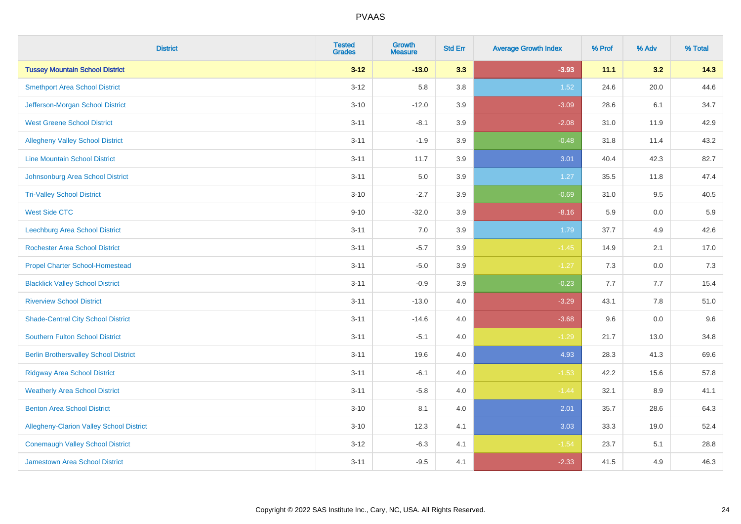| <b>District</b>                                 | <b>Tested</b><br><b>Grades</b> | <b>Growth</b><br><b>Measure</b> | <b>Std Err</b> | <b>Average Growth Index</b> | % Prof  | % Adv | % Total |
|-------------------------------------------------|--------------------------------|---------------------------------|----------------|-----------------------------|---------|-------|---------|
| <b>Tussey Mountain School District</b>          | $3 - 12$                       | $-13.0$                         | 3.3            | $-3.93$                     | 11.1    | 3.2   | 14.3    |
| <b>Smethport Area School District</b>           | $3 - 12$                       | 5.8                             | 3.8            | 1.52                        | 24.6    | 20.0  | 44.6    |
| Jefferson-Morgan School District                | $3 - 10$                       | $-12.0$                         | 3.9            | $-3.09$                     | 28.6    | 6.1   | 34.7    |
| <b>West Greene School District</b>              | $3 - 11$                       | $-8.1$                          | 3.9            | $-2.08$                     | 31.0    | 11.9  | 42.9    |
| <b>Allegheny Valley School District</b>         | $3 - 11$                       | $-1.9$                          | 3.9            | $-0.48$                     | 31.8    | 11.4  | 43.2    |
| <b>Line Mountain School District</b>            | $3 - 11$                       | 11.7                            | 3.9            | 3.01                        | 40.4    | 42.3  | 82.7    |
| Johnsonburg Area School District                | $3 - 11$                       | 5.0                             | 3.9            | 1.27                        | 35.5    | 11.8  | 47.4    |
| <b>Tri-Valley School District</b>               | $3 - 10$                       | $-2.7$                          | 3.9            | $-0.69$                     | 31.0    | 9.5   | 40.5    |
| <b>West Side CTC</b>                            | $9 - 10$                       | $-32.0$                         | 3.9            | $-8.16$                     | 5.9     | 0.0   | 5.9     |
| <b>Leechburg Area School District</b>           | $3 - 11$                       | 7.0                             | 3.9            | 1.79                        | 37.7    | 4.9   | 42.6    |
| <b>Rochester Area School District</b>           | $3 - 11$                       | $-5.7$                          | 3.9            | $-1.45$                     | 14.9    | 2.1   | 17.0    |
| <b>Propel Charter School-Homestead</b>          | $3 - 11$                       | $-5.0$                          | 3.9            | $-1.27$                     | 7.3     | 0.0   | 7.3     |
| <b>Blacklick Valley School District</b>         | $3 - 11$                       | $-0.9$                          | 3.9            | $-0.23$                     | $7.7\,$ | 7.7   | 15.4    |
| <b>Riverview School District</b>                | $3 - 11$                       | $-13.0$                         | 4.0            | $-3.29$                     | 43.1    | 7.8   | 51.0    |
| <b>Shade-Central City School District</b>       | $3 - 11$                       | $-14.6$                         | 4.0            | $-3.68$                     | 9.6     | 0.0   | 9.6     |
| <b>Southern Fulton School District</b>          | $3 - 11$                       | $-5.1$                          | $4.0\,$        | $-1.29$                     | 21.7    | 13.0  | 34.8    |
| <b>Berlin Brothersvalley School District</b>    | $3 - 11$                       | 19.6                            | 4.0            | 4.93                        | 28.3    | 41.3  | 69.6    |
| <b>Ridgway Area School District</b>             | $3 - 11$                       | $-6.1$                          | 4.0            | $-1.53$                     | 42.2    | 15.6  | 57.8    |
| <b>Weatherly Area School District</b>           | $3 - 11$                       | $-5.8$                          | $4.0\,$        | $-1.44$                     | 32.1    | 8.9   | 41.1    |
| <b>Benton Area School District</b>              | $3 - 10$                       | 8.1                             | 4.0            | 2.01                        | 35.7    | 28.6  | 64.3    |
| <b>Allegheny-Clarion Valley School District</b> | $3 - 10$                       | 12.3                            | 4.1            | 3.03                        | 33.3    | 19.0  | 52.4    |
| <b>Conemaugh Valley School District</b>         | $3 - 12$                       | $-6.3$                          | 4.1            | $-1.54$                     | 23.7    | 5.1   | 28.8    |
| Jamestown Area School District                  | $3 - 11$                       | $-9.5$                          | 4.1            | $-2.33$                     | 41.5    | 4.9   | 46.3    |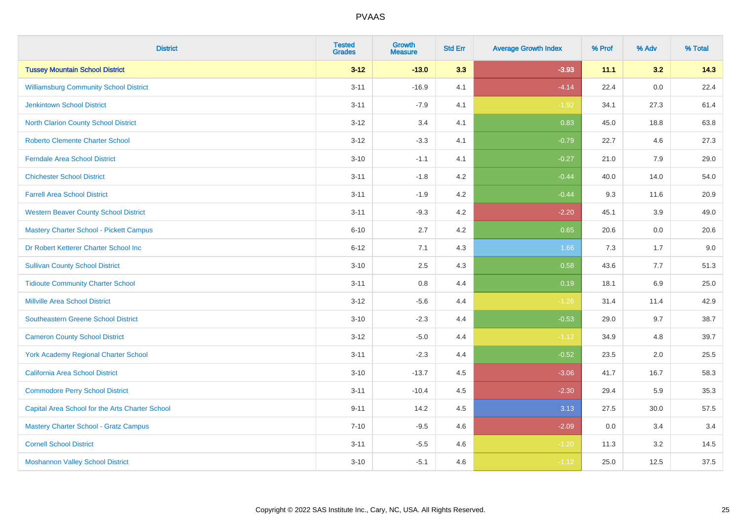| <b>District</b>                                 | <b>Tested</b><br><b>Grades</b> | <b>Growth</b><br><b>Measure</b> | <b>Std Err</b> | <b>Average Growth Index</b> | % Prof | % Adv   | % Total |
|-------------------------------------------------|--------------------------------|---------------------------------|----------------|-----------------------------|--------|---------|---------|
| <b>Tussey Mountain School District</b>          | $3 - 12$                       | $-13.0$                         | 3.3            | $-3.93$                     | 11.1   | 3.2     | 14.3    |
| <b>Williamsburg Community School District</b>   | $3 - 11$                       | $-16.9$                         | 4.1            | $-4.14$                     | 22.4   | 0.0     | 22.4    |
| <b>Jenkintown School District</b>               | $3 - 11$                       | $-7.9$                          | 4.1            | $-1.92$                     | 34.1   | 27.3    | 61.4    |
| North Clarion County School District            | $3 - 12$                       | 3.4                             | 4.1            | 0.83                        | 45.0   | 18.8    | 63.8    |
| <b>Roberto Clemente Charter School</b>          | $3 - 12$                       | $-3.3$                          | 4.1            | $-0.79$                     | 22.7   | 4.6     | 27.3    |
| <b>Ferndale Area School District</b>            | $3 - 10$                       | $-1.1$                          | 4.1            | $-0.27$                     | 21.0   | 7.9     | 29.0    |
| <b>Chichester School District</b>               | $3 - 11$                       | $-1.8$                          | 4.2            | $-0.44$                     | 40.0   | 14.0    | 54.0    |
| <b>Farrell Area School District</b>             | $3 - 11$                       | $-1.9$                          | 4.2            | $-0.44$                     | 9.3    | 11.6    | 20.9    |
| <b>Western Beaver County School District</b>    | $3 - 11$                       | $-9.3$                          | 4.2            | $-2.20$                     | 45.1   | 3.9     | 49.0    |
| Mastery Charter School - Pickett Campus         | $6 - 10$                       | 2.7                             | 4.2            | 0.65                        | 20.6   | 0.0     | 20.6    |
| Dr Robert Ketterer Charter School Inc           | $6 - 12$                       | 7.1                             | 4.3            | 1.66                        | 7.3    | 1.7     | 9.0     |
| <b>Sullivan County School District</b>          | $3 - 10$                       | 2.5                             | 4.3            | 0.58                        | 43.6   | 7.7     | 51.3    |
| <b>Tidioute Community Charter School</b>        | $3 - 11$                       | 0.8                             | 4.4            | 0.19                        | 18.1   | $6.9\,$ | 25.0    |
| <b>Millville Area School District</b>           | $3 - 12$                       | $-5.6$                          | 4.4            | $-1.26$                     | 31.4   | 11.4    | 42.9    |
| <b>Southeastern Greene School District</b>      | $3 - 10$                       | $-2.3$                          | 4.4            | $-0.53$                     | 29.0   | 9.7     | 38.7    |
| <b>Cameron County School District</b>           | $3 - 12$                       | $-5.0$                          | 4.4            | $-1.12$                     | 34.9   | 4.8     | 39.7    |
| York Academy Regional Charter School            | $3 - 11$                       | $-2.3$                          | 4.4            | $-0.52$                     | 23.5   | 2.0     | 25.5    |
| California Area School District                 | $3 - 10$                       | $-13.7$                         | 4.5            | $-3.06$                     | 41.7   | 16.7    | 58.3    |
| <b>Commodore Perry School District</b>          | $3 - 11$                       | $-10.4$                         | 4.5            | $-2.30$                     | 29.4   | 5.9     | 35.3    |
| Capital Area School for the Arts Charter School | $9 - 11$                       | 14.2                            | 4.5            | 3.13                        | 27.5   | 30.0    | 57.5    |
| <b>Mastery Charter School - Gratz Campus</b>    | $7 - 10$                       | $-9.5$                          | 4.6            | $-2.09$                     | 0.0    | 3.4     | 3.4     |
| <b>Cornell School District</b>                  | $3 - 11$                       | $-5.5$                          | 4.6            | $-1.20$                     | 11.3   | 3.2     | 14.5    |
| <b>Moshannon Valley School District</b>         | $3 - 10$                       | $-5.1$                          | 4.6            | $-1.12$                     | 25.0   | 12.5    | 37.5    |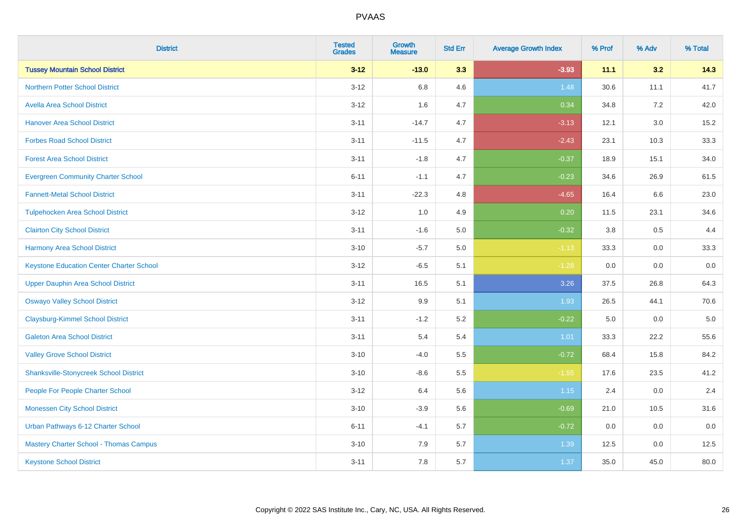| <b>District</b>                                 | <b>Tested</b><br><b>Grades</b> | <b>Growth</b><br><b>Measure</b> | <b>Std Err</b> | <b>Average Growth Index</b> | % Prof | % Adv   | % Total |
|-------------------------------------------------|--------------------------------|---------------------------------|----------------|-----------------------------|--------|---------|---------|
| <b>Tussey Mountain School District</b>          | $3 - 12$                       | $-13.0$                         | 3.3            | $-3.93$                     | 11.1   | 3.2     | 14.3    |
| <b>Northern Potter School District</b>          | $3 - 12$                       | 6.8                             | 4.6            | 1.48                        | 30.6   | 11.1    | 41.7    |
| <b>Avella Area School District</b>              | $3 - 12$                       | 1.6                             | 4.7            | 0.34                        | 34.8   | 7.2     | 42.0    |
| <b>Hanover Area School District</b>             | $3 - 11$                       | $-14.7$                         | 4.7            | $-3.13$                     | 12.1   | 3.0     | 15.2    |
| <b>Forbes Road School District</b>              | $3 - 11$                       | $-11.5$                         | 4.7            | $-2.43$                     | 23.1   | 10.3    | 33.3    |
| <b>Forest Area School District</b>              | $3 - 11$                       | $-1.8$                          | 4.7            | $-0.37$                     | 18.9   | 15.1    | 34.0    |
| <b>Evergreen Community Charter School</b>       | $6 - 11$                       | $-1.1$                          | 4.7            | $-0.23$                     | 34.6   | 26.9    | 61.5    |
| <b>Fannett-Metal School District</b>            | $3 - 11$                       | $-22.3$                         | 4.8            | $-4.65$                     | 16.4   | 6.6     | 23.0    |
| <b>Tulpehocken Area School District</b>         | $3 - 12$                       | 1.0                             | 4.9            | 0.20                        | 11.5   | 23.1    | 34.6    |
| <b>Clairton City School District</b>            | $3 - 11$                       | $-1.6$                          | 5.0            | $-0.32$                     | 3.8    | $0.5\,$ | 4.4     |
| <b>Harmony Area School District</b>             | $3 - 10$                       | $-5.7$                          | 5.0            | $-1.13$                     | 33.3   | 0.0     | 33.3    |
| <b>Keystone Education Center Charter School</b> | $3 - 12$                       | $-6.5$                          | 5.1            | $-1.28$                     | 0.0    | 0.0     | 0.0     |
| <b>Upper Dauphin Area School District</b>       | $3 - 11$                       | 16.5                            | 5.1            | 3.26                        | 37.5   | 26.8    | 64.3    |
| <b>Oswayo Valley School District</b>            | $3 - 12$                       | 9.9                             | 5.1            | 1.93                        | 26.5   | 44.1    | 70.6    |
| <b>Claysburg-Kimmel School District</b>         | $3 - 11$                       | $-1.2$                          | 5.2            | $-0.22$                     | 5.0    | 0.0     | $5.0\,$ |
| <b>Galeton Area School District</b>             | $3 - 11$                       | 5.4                             | 5.4            | 1.01                        | 33.3   | 22.2    | 55.6    |
| <b>Valley Grove School District</b>             | $3 - 10$                       | $-4.0$                          | 5.5            | $-0.72$                     | 68.4   | 15.8    | 84.2    |
| <b>Shanksville-Stonycreek School District</b>   | $3 - 10$                       | $-8.6$                          | 5.5            | $-1.55$                     | 17.6   | 23.5    | 41.2    |
| People For People Charter School                | $3-12$                         | 6.4                             | 5.6            | 1.15                        | 2.4    | 0.0     | 2.4     |
| <b>Monessen City School District</b>            | $3 - 10$                       | $-3.9$                          | 5.6            | $-0.69$                     | 21.0   | 10.5    | 31.6    |
| Urban Pathways 6-12 Charter School              | $6 - 11$                       | $-4.1$                          | 5.7            | $-0.72$                     | 0.0    | 0.0     | 0.0     |
| Mastery Charter School - Thomas Campus          | $3 - 10$                       | 7.9                             | 5.7            | 1.39                        | 12.5   | 0.0     | 12.5    |
| <b>Keystone School District</b>                 | $3 - 11$                       | 7.8                             | 5.7            | 1.37                        | 35.0   | 45.0    | 80.0    |